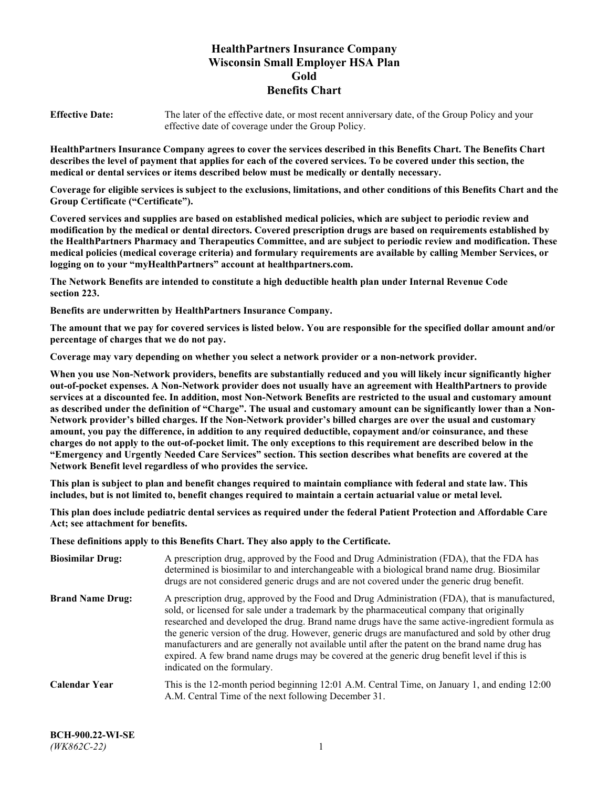# **HealthPartners Insurance Company Wisconsin Small Employer HSA Plan Gold Benefits Chart**

**Effective Date:** The later of the effective date, or most recent anniversary date, of the Group Policy and your effective date of coverage under the Group Policy.

**HealthPartners Insurance Company agrees to cover the services described in this Benefits Chart. The Benefits Chart describes the level of payment that applies for each of the covered services. To be covered under this section, the medical or dental services or items described below must be medically or dentally necessary.**

**Coverage for eligible services is subject to the exclusions, limitations, and other conditions of this Benefits Chart and the Group Certificate ("Certificate").**

**Covered services and supplies are based on established medical policies, which are subject to periodic review and modification by the medical or dental directors. Covered prescription drugs are based on requirements established by the HealthPartners Pharmacy and Therapeutics Committee, and are subject to periodic review and modification. These medical policies (medical coverage criteria) and formulary requirements are available by calling Member Services, or logging on to your "myHealthPartners" account at [healthpartners.com.](https://www.healthpartners.com/hp/index.html)**

**The Network Benefits are intended to constitute a high deductible health plan under Internal Revenue Code section 223.**

**Benefits are underwritten by HealthPartners Insurance Company.**

**The amount that we pay for covered services is listed below. You are responsible for the specified dollar amount and/or percentage of charges that we do not pay.**

**Coverage may vary depending on whether you select a network provider or a non-network provider.**

**When you use Non-Network providers, benefits are substantially reduced and you will likely incur significantly higher out-of-pocket expenses. A Non-Network provider does not usually have an agreement with HealthPartners to provide services at a discounted fee. In addition, most Non-Network Benefits are restricted to the usual and customary amount as described under the definition of "Charge". The usual and customary amount can be significantly lower than a Non-Network provider's billed charges. If the Non-Network provider's billed charges are over the usual and customary amount, you pay the difference, in addition to any required deductible, copayment and/or coinsurance, and these charges do not apply to the out-of-pocket limit. The only exceptions to this requirement are described below in the "Emergency and Urgently Needed Care Services" section. This section describes what benefits are covered at the Network Benefit level regardless of who provides the service.**

**This plan is subject to plan and benefit changes required to maintain compliance with federal and state law. This includes, but is not limited to, benefit changes required to maintain a certain actuarial value or metal level.**

**This plan does include pediatric dental services as required under the federal Patient Protection and Affordable Care Act; see attachment for benefits.**

**These definitions apply to this Benefits Chart. They also apply to the Certificate.**

| <b>Biosimilar Drug:</b> | A prescription drug, approved by the Food and Drug Administration (FDA), that the FDA has<br>determined is biosimilar to and interchangeable with a biological brand name drug. Biosimilar<br>drugs are not considered generic drugs and are not covered under the generic drug benefit.                                                                                                                                                                                                                                                                                                                                           |
|-------------------------|------------------------------------------------------------------------------------------------------------------------------------------------------------------------------------------------------------------------------------------------------------------------------------------------------------------------------------------------------------------------------------------------------------------------------------------------------------------------------------------------------------------------------------------------------------------------------------------------------------------------------------|
| <b>Brand Name Drug:</b> | A prescription drug, approved by the Food and Drug Administration (FDA), that is manufactured,<br>sold, or licensed for sale under a trademark by the pharmaceutical company that originally<br>researched and developed the drug. Brand name drugs have the same active-ingredient formula as<br>the generic version of the drug. However, generic drugs are manufactured and sold by other drug<br>manufacturers and are generally not available until after the patent on the brand name drug has<br>expired. A few brand name drugs may be covered at the generic drug benefit level if this is<br>indicated on the formulary. |
| <b>Calendar Year</b>    | This is the 12-month period beginning 12:01 A.M. Central Time, on January 1, and ending 12:00<br>A.M. Central Time of the next following December 31.                                                                                                                                                                                                                                                                                                                                                                                                                                                                              |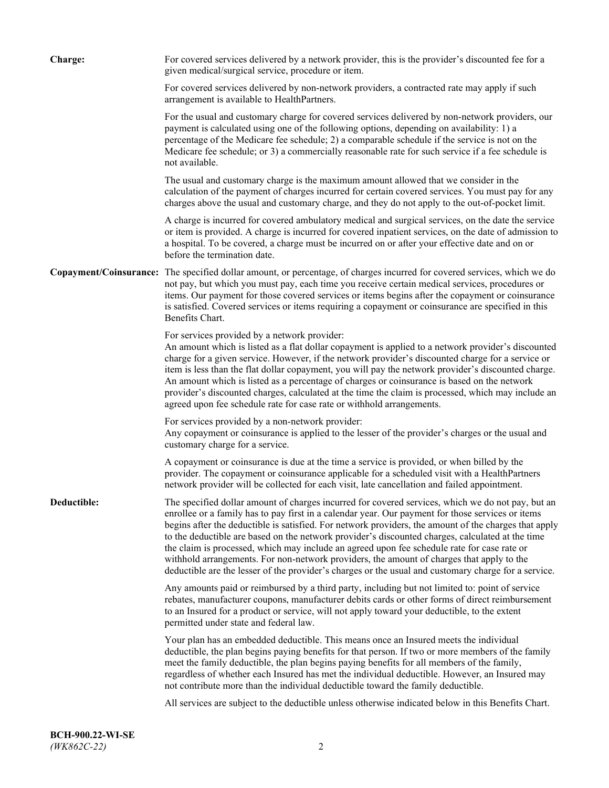| <b>Charge:</b> | For covered services delivered by a network provider, this is the provider's discounted fee for a<br>given medical/surgical service, procedure or item.                                                                                                                                                                                                                                                                                                                                                                                                                                                                                                                                                                 |
|----------------|-------------------------------------------------------------------------------------------------------------------------------------------------------------------------------------------------------------------------------------------------------------------------------------------------------------------------------------------------------------------------------------------------------------------------------------------------------------------------------------------------------------------------------------------------------------------------------------------------------------------------------------------------------------------------------------------------------------------------|
|                | For covered services delivered by non-network providers, a contracted rate may apply if such<br>arrangement is available to HealthPartners.                                                                                                                                                                                                                                                                                                                                                                                                                                                                                                                                                                             |
|                | For the usual and customary charge for covered services delivered by non-network providers, our<br>payment is calculated using one of the following options, depending on availability: 1) a<br>percentage of the Medicare fee schedule; 2) a comparable schedule if the service is not on the<br>Medicare fee schedule; or 3) a commercially reasonable rate for such service if a fee schedule is<br>not available.                                                                                                                                                                                                                                                                                                   |
|                | The usual and customary charge is the maximum amount allowed that we consider in the<br>calculation of the payment of charges incurred for certain covered services. You must pay for any<br>charges above the usual and customary charge, and they do not apply to the out-of-pocket limit.                                                                                                                                                                                                                                                                                                                                                                                                                            |
|                | A charge is incurred for covered ambulatory medical and surgical services, on the date the service<br>or item is provided. A charge is incurred for covered inpatient services, on the date of admission to<br>a hospital. To be covered, a charge must be incurred on or after your effective date and on or<br>before the termination date.                                                                                                                                                                                                                                                                                                                                                                           |
|                | Copayment/Coinsurance: The specified dollar amount, or percentage, of charges incurred for covered services, which we do<br>not pay, but which you must pay, each time you receive certain medical services, procedures or<br>items. Our payment for those covered services or items begins after the copayment or coinsurance<br>is satisfied. Covered services or items requiring a copayment or coinsurance are specified in this<br>Benefits Chart.                                                                                                                                                                                                                                                                 |
|                | For services provided by a network provider:<br>An amount which is listed as a flat dollar copayment is applied to a network provider's discounted<br>charge for a given service. However, if the network provider's discounted charge for a service or<br>item is less than the flat dollar copayment, you will pay the network provider's discounted charge.<br>An amount which is listed as a percentage of charges or coinsurance is based on the network<br>provider's discounted charges, calculated at the time the claim is processed, which may include an<br>agreed upon fee schedule rate for case rate or withhold arrangements.                                                                            |
|                | For services provided by a non-network provider:<br>Any copayment or coinsurance is applied to the lesser of the provider's charges or the usual and<br>customary charge for a service.                                                                                                                                                                                                                                                                                                                                                                                                                                                                                                                                 |
|                | A copayment or coinsurance is due at the time a service is provided, or when billed by the<br>provider. The copayment or coinsurance applicable for a scheduled visit with a HealthPartners<br>network provider will be collected for each visit, late cancellation and failed appointment.                                                                                                                                                                                                                                                                                                                                                                                                                             |
| Deductible:    | The specified dollar amount of charges incurred for covered services, which we do not pay, but an<br>enrollee or a family has to pay first in a calendar year. Our payment for those services or items<br>begins after the deductible is satisfied. For network providers, the amount of the charges that apply<br>to the deductible are based on the network provider's discounted charges, calculated at the time<br>the claim is processed, which may include an agreed upon fee schedule rate for case rate or<br>withhold arrangements. For non-network providers, the amount of charges that apply to the<br>deductible are the lesser of the provider's charges or the usual and customary charge for a service. |
|                | Any amounts paid or reimbursed by a third party, including but not limited to: point of service<br>rebates, manufacturer coupons, manufacturer debits cards or other forms of direct reimbursement<br>to an Insured for a product or service, will not apply toward your deductible, to the extent<br>permitted under state and federal law.                                                                                                                                                                                                                                                                                                                                                                            |
|                | Your plan has an embedded deductible. This means once an Insured meets the individual<br>deductible, the plan begins paying benefits for that person. If two or more members of the family<br>meet the family deductible, the plan begins paying benefits for all members of the family,<br>regardless of whether each Insured has met the individual deductible. However, an Insured may<br>not contribute more than the individual deductible toward the family deductible.                                                                                                                                                                                                                                           |
|                | All services are subject to the deductible unless otherwise indicated below in this Benefits Chart.                                                                                                                                                                                                                                                                                                                                                                                                                                                                                                                                                                                                                     |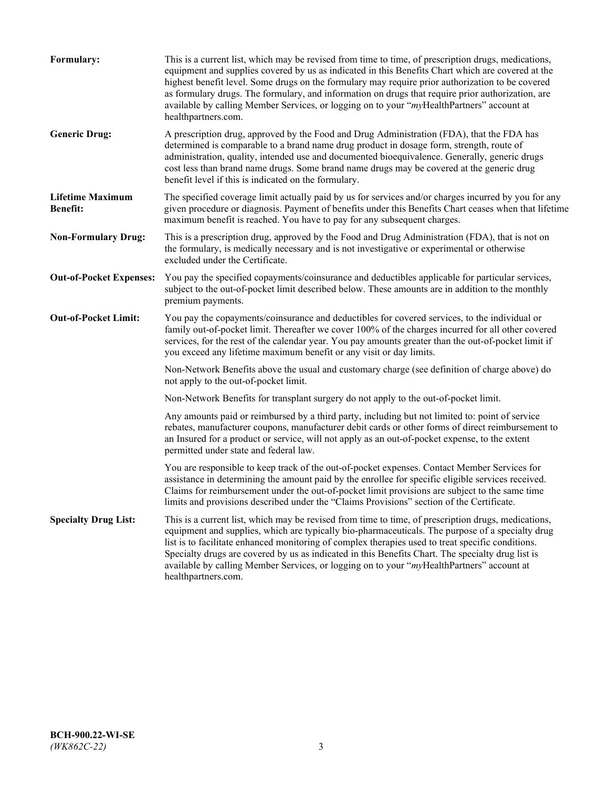| Formulary:                                 | This is a current list, which may be revised from time to time, of prescription drugs, medications,<br>equipment and supplies covered by us as indicated in this Benefits Chart which are covered at the<br>highest benefit level. Some drugs on the formulary may require prior authorization to be covered<br>as formulary drugs. The formulary, and information on drugs that require prior authorization, are<br>available by calling Member Services, or logging on to your "myHealthPartners" account at<br>healthpartners.com. |
|--------------------------------------------|---------------------------------------------------------------------------------------------------------------------------------------------------------------------------------------------------------------------------------------------------------------------------------------------------------------------------------------------------------------------------------------------------------------------------------------------------------------------------------------------------------------------------------------|
| <b>Generic Drug:</b>                       | A prescription drug, approved by the Food and Drug Administration (FDA), that the FDA has<br>determined is comparable to a brand name drug product in dosage form, strength, route of<br>administration, quality, intended use and documented bioequivalence. Generally, generic drugs<br>cost less than brand name drugs. Some brand name drugs may be covered at the generic drug<br>benefit level if this is indicated on the formulary.                                                                                           |
| <b>Lifetime Maximum</b><br><b>Benefit:</b> | The specified coverage limit actually paid by us for services and/or charges incurred by you for any<br>given procedure or diagnosis. Payment of benefits under this Benefits Chart ceases when that lifetime<br>maximum benefit is reached. You have to pay for any subsequent charges.                                                                                                                                                                                                                                              |
| <b>Non-Formulary Drug:</b>                 | This is a prescription drug, approved by the Food and Drug Administration (FDA), that is not on<br>the formulary, is medically necessary and is not investigative or experimental or otherwise<br>excluded under the Certificate.                                                                                                                                                                                                                                                                                                     |
| <b>Out-of-Pocket Expenses:</b>             | You pay the specified copayments/coinsurance and deductibles applicable for particular services,<br>subject to the out-of-pocket limit described below. These amounts are in addition to the monthly<br>premium payments.                                                                                                                                                                                                                                                                                                             |
| <b>Out-of-Pocket Limit:</b>                | You pay the copayments/coinsurance and deductibles for covered services, to the individual or<br>family out-of-pocket limit. Thereafter we cover 100% of the charges incurred for all other covered<br>services, for the rest of the calendar year. You pay amounts greater than the out-of-pocket limit if<br>you exceed any lifetime maximum benefit or any visit or day limits.                                                                                                                                                    |
|                                            | Non-Network Benefits above the usual and customary charge (see definition of charge above) do<br>not apply to the out-of-pocket limit.                                                                                                                                                                                                                                                                                                                                                                                                |
|                                            | Non-Network Benefits for transplant surgery do not apply to the out-of-pocket limit.                                                                                                                                                                                                                                                                                                                                                                                                                                                  |
|                                            | Any amounts paid or reimbursed by a third party, including but not limited to: point of service<br>rebates, manufacturer coupons, manufacturer debit cards or other forms of direct reimbursement to<br>an Insured for a product or service, will not apply as an out-of-pocket expense, to the extent<br>permitted under state and federal law.                                                                                                                                                                                      |
|                                            | You are responsible to keep track of the out-of-pocket expenses. Contact Member Services for<br>assistance in determining the amount paid by the enrollee for specific eligible services received.<br>Claims for reimbursement under the out-of-pocket limit provisions are subject to the same time<br>limits and provisions described under the "Claims Provisions" section of the Certificate.                                                                                                                                     |
| <b>Specialty Drug List:</b>                | This is a current list, which may be revised from time to time, of prescription drugs, medications,<br>equipment and supplies, which are typically bio-pharmaceuticals. The purpose of a specialty drug<br>list is to facilitate enhanced monitoring of complex therapies used to treat specific conditions.<br>Specialty drugs are covered by us as indicated in this Benefits Chart. The specialty drug list is<br>available by calling Member Services, or logging on to your "myHealthPartners" account at<br>healthpartners.com. |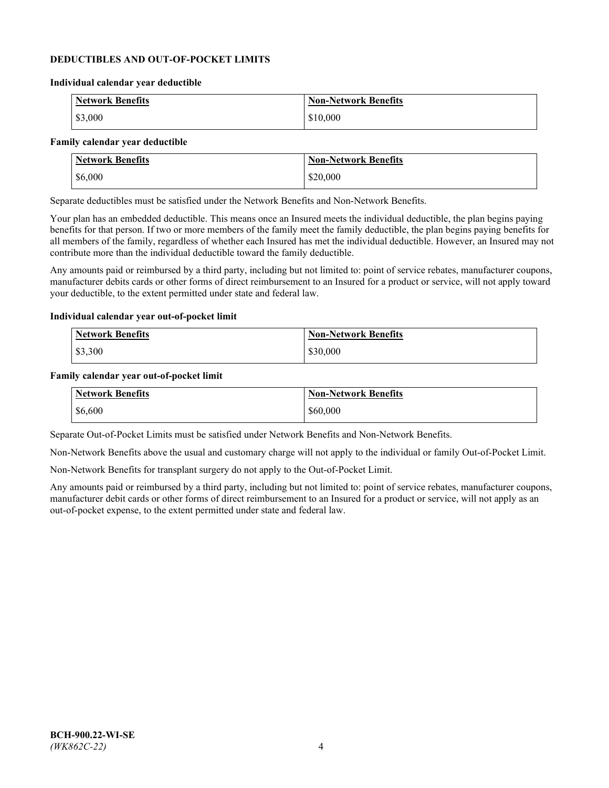### **DEDUCTIBLES AND OUT-OF-POCKET LIMITS**

#### **Individual calendar year deductible**

| <b>Network Benefits</b> | <b>Non-Network Benefits</b> |
|-------------------------|-----------------------------|
| \$3,000                 | \$10,000                    |

#### **Family calendar year deductible**

| <b>Network Benefits</b> | <b>Non-Network Benefits</b> |
|-------------------------|-----------------------------|
| \$6,000                 | \$20,000                    |

Separate deductibles must be satisfied under the Network Benefits and Non-Network Benefits.

Your plan has an embedded deductible. This means once an Insured meets the individual deductible, the plan begins paying benefits for that person. If two or more members of the family meet the family deductible, the plan begins paying benefits for all members of the family, regardless of whether each Insured has met the individual deductible. However, an Insured may not contribute more than the individual deductible toward the family deductible.

Any amounts paid or reimbursed by a third party, including but not limited to: point of service rebates, manufacturer coupons, manufacturer debits cards or other forms of direct reimbursement to an Insured for a product or service, will not apply toward your deductible, to the extent permitted under state and federal law.

#### **Individual calendar year out-of-pocket limit**

| Network Benefits | <b>Non-Network Benefits</b> |
|------------------|-----------------------------|
| \$3,300          | \$30,000                    |

#### **Family calendar year out-of-pocket limit**

| <b>Network Benefits</b> | <b>Non-Network Benefits</b> |
|-------------------------|-----------------------------|
| \$6,600                 | \$60,000                    |

Separate Out-of-Pocket Limits must be satisfied under Network Benefits and Non-Network Benefits.

Non-Network Benefits above the usual and customary charge will not apply to the individual or family Out-of-Pocket Limit.

Non-Network Benefits for transplant surgery do not apply to the Out-of-Pocket Limit.

Any amounts paid or reimbursed by a third party, including but not limited to: point of service rebates, manufacturer coupons, manufacturer debit cards or other forms of direct reimbursement to an Insured for a product or service, will not apply as an out-of-pocket expense, to the extent permitted under state and federal law.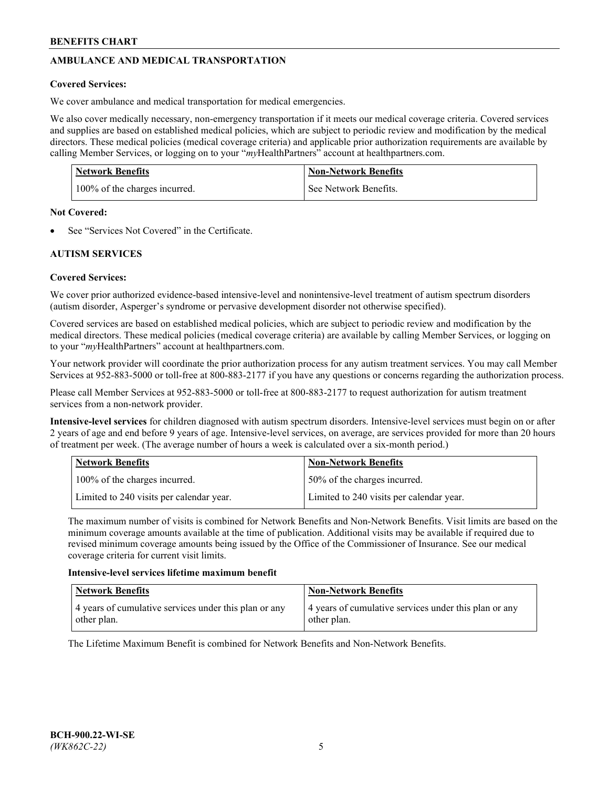# **AMBULANCE AND MEDICAL TRANSPORTATION**

# **Covered Services:**

We cover ambulance and medical transportation for medical emergencies.

We also cover medically necessary, non-emergency transportation if it meets our medical coverage criteria. Covered services and supplies are based on established medical policies, which are subject to periodic review and modification by the medical directors. These medical policies (medical coverage criteria) and applicable prior authorization requirements are available by calling Member Services, or logging on to your "*my*HealthPartners" account a[t healthpartners.com.](https://www.healthpartners.com/hp/index.html)

| <b>Network Benefits</b>       | <b>Non-Network Benefits</b> |
|-------------------------------|-----------------------------|
| 100% of the charges incurred. | See Network Benefits.       |

## **Not Covered:**

See "Services Not Covered" in the Certificate.

# **AUTISM SERVICES**

# **Covered Services:**

We cover prior authorized evidence-based intensive-level and nonintensive-level treatment of autism spectrum disorders (autism disorder, Asperger's syndrome or pervasive development disorder not otherwise specified).

Covered services are based on established medical policies, which are subject to periodic review and modification by the medical directors. These medical policies (medical coverage criteria) are available by calling Member Services, or logging on to your "*my*HealthPartners" account at [healthpartners.com.](https://www.healthpartners.com/hp/index.html)

Your network provider will coordinate the prior authorization process for any autism treatment services. You may call Member Services at 952-883-5000 or toll-free at 800-883-2177 if you have any questions or concerns regarding the authorization process.

Please call Member Services at 952-883-5000 or toll-free at 800-883-2177 to request authorization for autism treatment services from a non-network provider.

**Intensive-level services** for children diagnosed with autism spectrum disorders. Intensive-level services must begin on or after 2 years of age and end before 9 years of age. Intensive-level services, on average, are services provided for more than 20 hours of treatment per week. (The average number of hours a week is calculated over a six-month period.)

| Network Benefits                         | <b>Non-Network Benefits</b>              |
|------------------------------------------|------------------------------------------|
| 100% of the charges incurred.            | 50% of the charges incurred.             |
| Limited to 240 visits per calendar year. | Limited to 240 visits per calendar year. |

The maximum number of visits is combined for Network Benefits and Non-Network Benefits. Visit limits are based on the minimum coverage amounts available at the time of publication. Additional visits may be available if required due to revised minimum coverage amounts being issued by the Office of the Commissioner of Insurance. See our medical coverage criteria for current visit limits.

## **Intensive-level services lifetime maximum benefit**

| Network Benefits                                                     | <b>Non-Network Benefits</b>                                          |
|----------------------------------------------------------------------|----------------------------------------------------------------------|
| 4 years of cumulative services under this plan or any<br>other plan. | 4 years of cumulative services under this plan or any<br>other plan. |

The Lifetime Maximum Benefit is combined for Network Benefits and Non-Network Benefits.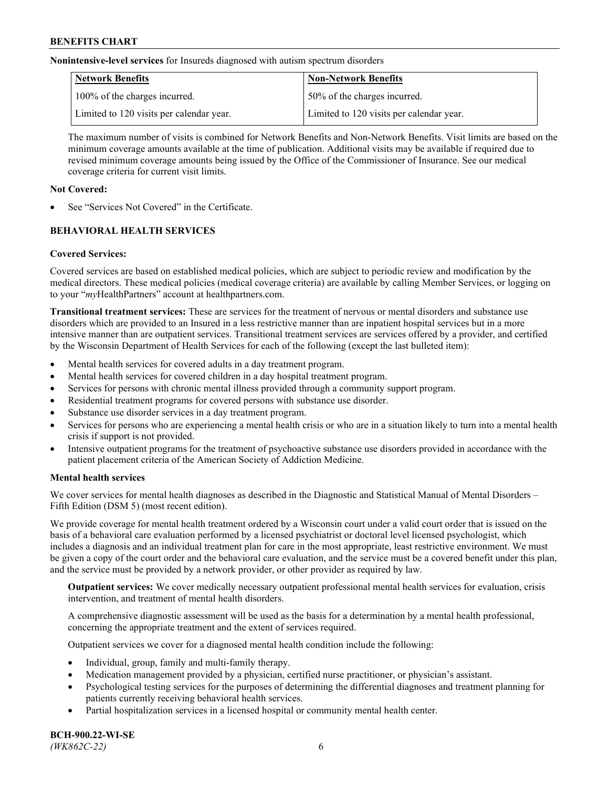**Nonintensive-level services** for Insureds diagnosed with autism spectrum disorders

| Network Benefits                         | <b>Non-Network Benefits</b>              |
|------------------------------------------|------------------------------------------|
| 100% of the charges incurred.            | 50% of the charges incurred.             |
| Limited to 120 visits per calendar year. | Limited to 120 visits per calendar year. |

The maximum number of visits is combined for Network Benefits and Non-Network Benefits. Visit limits are based on the minimum coverage amounts available at the time of publication. Additional visits may be available if required due to revised minimum coverage amounts being issued by the Office of the Commissioner of Insurance. See our medical coverage criteria for current visit limits.

# **Not Covered:**

See "Services Not Covered" in the Certificate.

# **BEHAVIORAL HEALTH SERVICES**

## **Covered Services:**

Covered services are based on established medical policies, which are subject to periodic review and modification by the medical directors. These medical policies (medical coverage criteria) are available by calling Member Services, or logging on to your "*my*HealthPartners" account at [healthpartners.com.](https://www.healthpartners.com/hp/index.html)

**Transitional treatment services:** These are services for the treatment of nervous or mental disorders and substance use disorders which are provided to an Insured in a less restrictive manner than are inpatient hospital services but in a more intensive manner than are outpatient services. Transitional treatment services are services offered by a provider, and certified by the Wisconsin Department of Health Services for each of the following (except the last bulleted item):

- Mental health services for covered adults in a day treatment program.
- Mental health services for covered children in a day hospital treatment program.
- Services for persons with chronic mental illness provided through a community support program.
- Residential treatment programs for covered persons with substance use disorder.
- Substance use disorder services in a day treatment program.
- Services for persons who are experiencing a mental health crisis or who are in a situation likely to turn into a mental health crisis if support is not provided.
- Intensive outpatient programs for the treatment of psychoactive substance use disorders provided in accordance with the patient placement criteria of the American Society of Addiction Medicine.

## **Mental health services**

We cover services for mental health diagnoses as described in the Diagnostic and Statistical Manual of Mental Disorders – Fifth Edition (DSM 5) (most recent edition).

We provide coverage for mental health treatment ordered by a Wisconsin court under a valid court order that is issued on the basis of a behavioral care evaluation performed by a licensed psychiatrist or doctoral level licensed psychologist, which includes a diagnosis and an individual treatment plan for care in the most appropriate, least restrictive environment. We must be given a copy of the court order and the behavioral care evaluation, and the service must be a covered benefit under this plan, and the service must be provided by a network provider, or other provider as required by law.

**Outpatient services:** We cover medically necessary outpatient professional mental health services for evaluation, crisis intervention, and treatment of mental health disorders.

A comprehensive diagnostic assessment will be used as the basis for a determination by a mental health professional, concerning the appropriate treatment and the extent of services required.

Outpatient services we cover for a diagnosed mental health condition include the following:

- Individual, group, family and multi-family therapy.
- Medication management provided by a physician, certified nurse practitioner, or physician's assistant.
- Psychological testing services for the purposes of determining the differential diagnoses and treatment planning for patients currently receiving behavioral health services.
- Partial hospitalization services in a licensed hospital or community mental health center.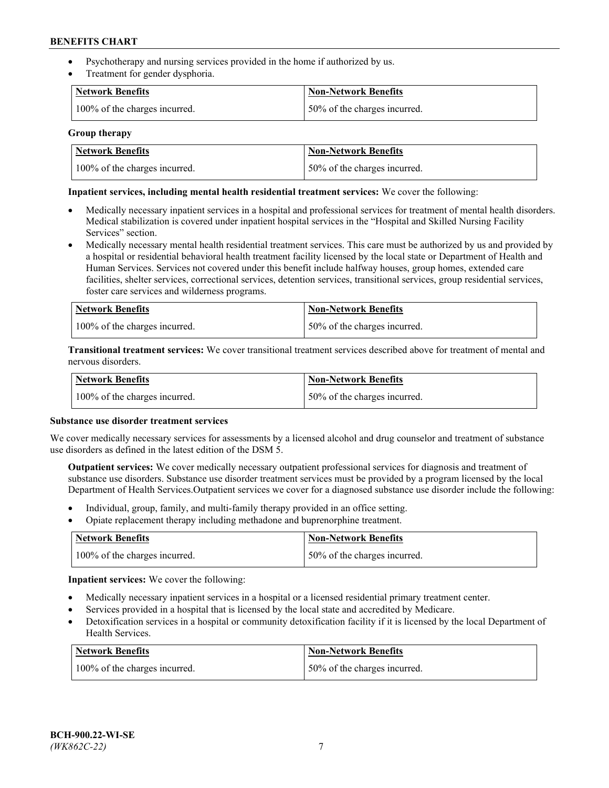- Psychotherapy and nursing services provided in the home if authorized by us.
- Treatment for gender dysphoria.

| <b>Network Benefits</b>       | <b>Non-Network Benefits</b>  |
|-------------------------------|------------------------------|
| 100% of the charges incurred. | 50% of the charges incurred. |

### **Group therapy**

| Network Benefits              | Non-Network Benefits          |
|-------------------------------|-------------------------------|
| 100% of the charges incurred. | 150% of the charges incurred. |

### **Inpatient services, including mental health residential treatment services:** We cover the following:

- Medically necessary inpatient services in a hospital and professional services for treatment of mental health disorders. Medical stabilization is covered under inpatient hospital services in the "Hospital and Skilled Nursing Facility Services" section.
- Medically necessary mental health residential treatment services. This care must be authorized by us and provided by a hospital or residential behavioral health treatment facility licensed by the local state or Department of Health and Human Services. Services not covered under this benefit include halfway houses, group homes, extended care facilities, shelter services, correctional services, detention services, transitional services, group residential services, foster care services and wilderness programs.

| Network Benefits              | Non-Network Benefits         |
|-------------------------------|------------------------------|
| 100% of the charges incurred. | 50% of the charges incurred. |

**Transitional treatment services:** We cover transitional treatment services described above for treatment of mental and nervous disorders.

| <b>Network Benefits</b>       | <b>Non-Network Benefits</b>  |
|-------------------------------|------------------------------|
| 100% of the charges incurred. | 50% of the charges incurred. |

### **Substance use disorder treatment services**

We cover medically necessary services for assessments by a licensed alcohol and drug counselor and treatment of substance use disorders as defined in the latest edition of the DSM 5.

**Outpatient services:** We cover medically necessary outpatient professional services for diagnosis and treatment of substance use disorders. Substance use disorder treatment services must be provided by a program licensed by the local Department of Health Services.Outpatient services we cover for a diagnosed substance use disorder include the following:

- Individual, group, family, and multi-family therapy provided in an office setting.
- Opiate replacement therapy including methadone and buprenorphine treatment.

| Network Benefits              | Non-Network Benefits         |
|-------------------------------|------------------------------|
| 100% of the charges incurred. | 50% of the charges incurred. |

**Inpatient services:** We cover the following:

- Medically necessary inpatient services in a hospital or a licensed residential primary treatment center.
- Services provided in a hospital that is licensed by the local state and accredited by Medicare.
- Detoxification services in a hospital or community detoxification facility if it is licensed by the local Department of Health Services.

| Network Benefits              | Non-Network Benefits         |
|-------------------------------|------------------------------|
| 100% of the charges incurred. | 50% of the charges incurred. |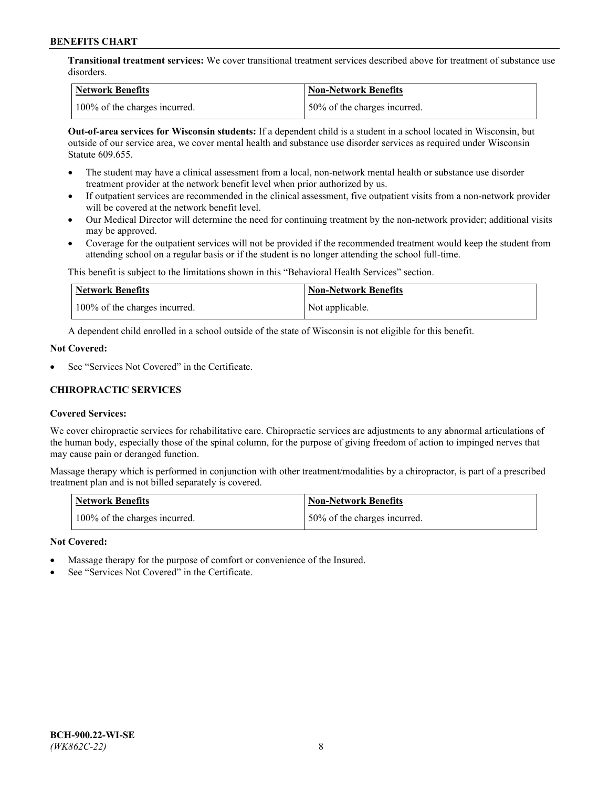**Transitional treatment services:** We cover transitional treatment services described above for treatment of substance use disorders.

| Network Benefits              | <b>Non-Network Benefits</b>   |
|-------------------------------|-------------------------------|
| 100% of the charges incurred. | 150% of the charges incurred. |

**Out-of-area services for Wisconsin students:** If a dependent child is a student in a school located in Wisconsin, but outside of our service area, we cover mental health and substance use disorder services as required under Wisconsin Statute 609.655.

- The student may have a clinical assessment from a local, non-network mental health or substance use disorder treatment provider at the network benefit level when prior authorized by us.
- If outpatient services are recommended in the clinical assessment, five outpatient visits from a non-network provider will be covered at the network benefit level.
- Our Medical Director will determine the need for continuing treatment by the non-network provider; additional visits may be approved.
- Coverage for the outpatient services will not be provided if the recommended treatment would keep the student from attending school on a regular basis or if the student is no longer attending the school full-time.

This benefit is subject to the limitations shown in this "Behavioral Health Services" section.

| Network Benefits              | <b>Non-Network Benefits</b> |
|-------------------------------|-----------------------------|
| 100% of the charges incurred. | Not applicable.             |

A dependent child enrolled in a school outside of the state of Wisconsin is not eligible for this benefit.

### **Not Covered:**

See "Services Not Covered" in the Certificate.

# **CHIROPRACTIC SERVICES**

## **Covered Services:**

We cover chiropractic services for rehabilitative care. Chiropractic services are adjustments to any abnormal articulations of the human body, especially those of the spinal column, for the purpose of giving freedom of action to impinged nerves that may cause pain or deranged function.

Massage therapy which is performed in conjunction with other treatment/modalities by a chiropractor, is part of a prescribed treatment plan and is not billed separately is covered.

| Network Benefits              | <b>Non-Network Benefits</b>   |
|-------------------------------|-------------------------------|
| 100% of the charges incurred. | 150% of the charges incurred. |

#### **Not Covered:**

- Massage therapy for the purpose of comfort or convenience of the Insured.
- See "Services Not Covered" in the Certificate.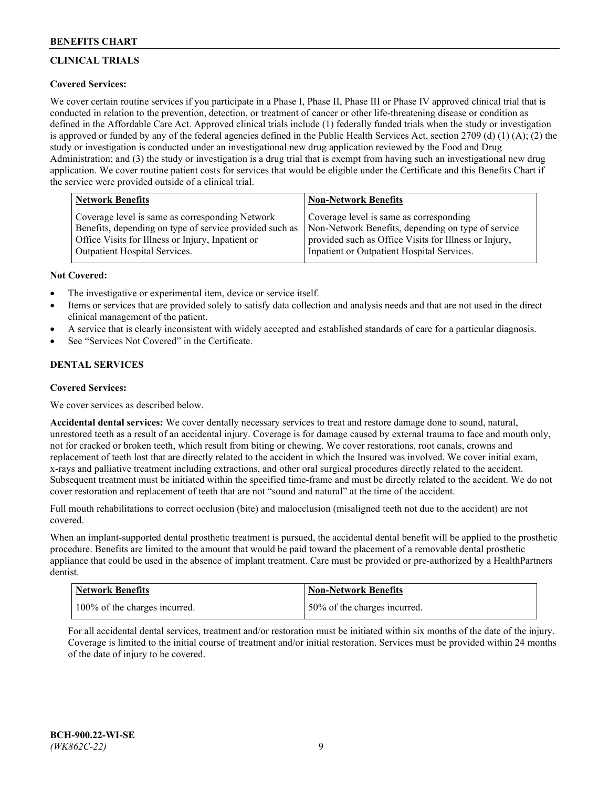# **CLINICAL TRIALS**

# **Covered Services:**

We cover certain routine services if you participate in a Phase I, Phase II, Phase III or Phase IV approved clinical trial that is conducted in relation to the prevention, detection, or treatment of cancer or other life-threatening disease or condition as defined in the Affordable Care Act. Approved clinical trials include (1) federally funded trials when the study or investigation is approved or funded by any of the federal agencies defined in the Public Health Services Act, section 2709 (d) (1) (A); (2) the study or investigation is conducted under an investigational new drug application reviewed by the Food and Drug Administration; and (3) the study or investigation is a drug trial that is exempt from having such an investigational new drug application. We cover routine patient costs for services that would be eligible under the Certificate and this Benefits Chart if the service were provided outside of a clinical trial.

| <b>Network Benefits</b>                                 | <b>Non-Network Benefits</b>                           |
|---------------------------------------------------------|-------------------------------------------------------|
| Coverage level is same as corresponding Network         | Coverage level is same as corresponding               |
| Benefits, depending on type of service provided such as | Non-Network Benefits, depending on type of service    |
| Office Visits for Illness or Injury, Inpatient or       | provided such as Office Visits for Illness or Injury, |
| Outpatient Hospital Services.                           | Inpatient or Outpatient Hospital Services.            |

## **Not Covered:**

- The investigative or experimental item, device or service itself.
- Items or services that are provided solely to satisfy data collection and analysis needs and that are not used in the direct clinical management of the patient.
- A service that is clearly inconsistent with widely accepted and established standards of care for a particular diagnosis.
- See "Services Not Covered" in the Certificate.

# **DENTAL SERVICES**

## **Covered Services:**

We cover services as described below.

**Accidental dental services:** We cover dentally necessary services to treat and restore damage done to sound, natural, unrestored teeth as a result of an accidental injury. Coverage is for damage caused by external trauma to face and mouth only, not for cracked or broken teeth, which result from biting or chewing. We cover restorations, root canals, crowns and replacement of teeth lost that are directly related to the accident in which the Insured was involved. We cover initial exam, x-rays and palliative treatment including extractions, and other oral surgical procedures directly related to the accident. Subsequent treatment must be initiated within the specified time-frame and must be directly related to the accident. We do not cover restoration and replacement of teeth that are not "sound and natural" at the time of the accident.

Full mouth rehabilitations to correct occlusion (bite) and malocclusion (misaligned teeth not due to the accident) are not covered.

When an implant-supported dental prosthetic treatment is pursued, the accidental dental benefit will be applied to the prosthetic procedure. Benefits are limited to the amount that would be paid toward the placement of a removable dental prosthetic appliance that could be used in the absence of implant treatment. Care must be provided or pre-authorized by a HealthPartners dentist.

| <b>Network Benefits</b>       | <b>Non-Network Benefits</b>  |
|-------------------------------|------------------------------|
| 100% of the charges incurred. | 50% of the charges incurred. |

For all accidental dental services, treatment and/or restoration must be initiated within six months of the date of the injury. Coverage is limited to the initial course of treatment and/or initial restoration. Services must be provided within 24 months of the date of injury to be covered.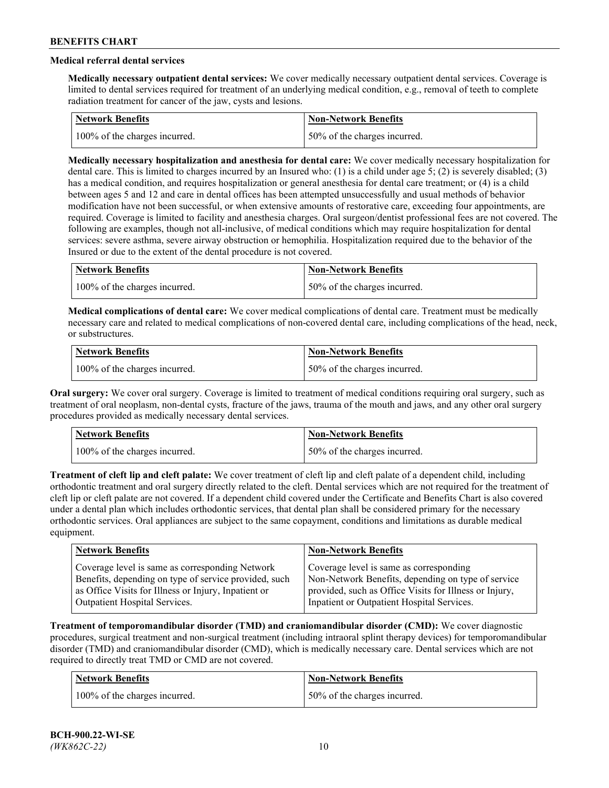# **Medical referral dental services**

**Medically necessary outpatient dental services:** We cover medically necessary outpatient dental services. Coverage is limited to dental services required for treatment of an underlying medical condition, e.g., removal of teeth to complete radiation treatment for cancer of the jaw, cysts and lesions.

| Network Benefits              | <b>Non-Network Benefits</b>  |
|-------------------------------|------------------------------|
| 100% of the charges incurred. | 50% of the charges incurred. |

**Medically necessary hospitalization and anesthesia for dental care:** We cover medically necessary hospitalization for dental care. This is limited to charges incurred by an Insured who: (1) is a child under age 5; (2) is severely disabled; (3) has a medical condition, and requires hospitalization or general anesthesia for dental care treatment; or (4) is a child between ages 5 and 12 and care in dental offices has been attempted unsuccessfully and usual methods of behavior modification have not been successful, or when extensive amounts of restorative care, exceeding four appointments, are required. Coverage is limited to facility and anesthesia charges. Oral surgeon/dentist professional fees are not covered. The following are examples, though not all-inclusive, of medical conditions which may require hospitalization for dental services: severe asthma, severe airway obstruction or hemophilia. Hospitalization required due to the behavior of the Insured or due to the extent of the dental procedure is not covered.

| Network Benefits              | <b>Non-Network Benefits</b>  |
|-------------------------------|------------------------------|
| 100% of the charges incurred. | 50% of the charges incurred. |

**Medical complications of dental care:** We cover medical complications of dental care. Treatment must be medically necessary care and related to medical complications of non-covered dental care, including complications of the head, neck, or substructures.

| Network Benefits              | Non-Network Benefits         |
|-------------------------------|------------------------------|
| 100% of the charges incurred. | 50% of the charges incurred. |

**Oral surgery:** We cover oral surgery. Coverage is limited to treatment of medical conditions requiring oral surgery, such as treatment of oral neoplasm, non-dental cysts, fracture of the jaws, trauma of the mouth and jaws, and any other oral surgery procedures provided as medically necessary dental services.

| <b>Network Benefits</b>       | <b>Non-Network Benefits</b>   |
|-------------------------------|-------------------------------|
| 100% of the charges incurred. | 150% of the charges incurred. |

**Treatment of cleft lip and cleft palate:** We cover treatment of cleft lip and cleft palate of a dependent child, including orthodontic treatment and oral surgery directly related to the cleft. Dental services which are not required for the treatment of cleft lip or cleft palate are not covered. If a dependent child covered under the Certificate and Benefits Chart is also covered under a dental plan which includes orthodontic services, that dental plan shall be considered primary for the necessary orthodontic services. Oral appliances are subject to the same copayment, conditions and limitations as durable medical equipment.

| <b>Network Benefits</b>                               | <b>Non-Network Benefits</b>                            |
|-------------------------------------------------------|--------------------------------------------------------|
| Coverage level is same as corresponding Network       | Coverage level is same as corresponding                |
| Benefits, depending on type of service provided, such | Non-Network Benefits, depending on type of service     |
| as Office Visits for Illness or Injury, Inpatient or  | provided, such as Office Visits for Illness or Injury, |
| Outpatient Hospital Services.                         | Inpatient or Outpatient Hospital Services.             |

**Treatment of temporomandibular disorder (TMD) and craniomandibular disorder (CMD):** We cover diagnostic procedures, surgical treatment and non-surgical treatment (including intraoral splint therapy devices) for temporomandibular disorder (TMD) and craniomandibular disorder (CMD), which is medically necessary care. Dental services which are not required to directly treat TMD or CMD are not covered.

| <b>Network Benefits</b>       | <b>Non-Network Benefits</b>   |
|-------------------------------|-------------------------------|
| 100% of the charges incurred. | 150% of the charges incurred. |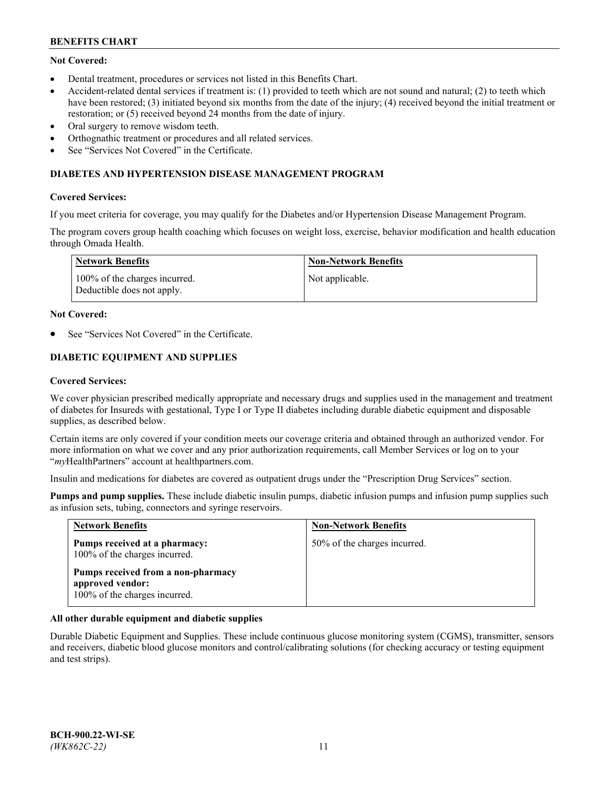# **Not Covered:**

- Dental treatment, procedures or services not listed in this Benefits Chart.
- Accident-related dental services if treatment is: (1) provided to teeth which are not sound and natural; (2) to teeth which have been restored; (3) initiated beyond six months from the date of the injury; (4) received beyond the initial treatment or restoration; or (5) received beyond 24 months from the date of injury.
- Oral surgery to remove wisdom teeth.
- Orthognathic treatment or procedures and all related services.
- See "Services Not Covered" in the Certificate.

### **DIABETES AND HYPERTENSION DISEASE MANAGEMENT PROGRAM**

### **Covered Services:**

If you meet criteria for coverage, you may qualify for the Diabetes and/or Hypertension Disease Management Program.

The program covers group health coaching which focuses on weight loss, exercise, behavior modification and health education through Omada Health.

| Network Benefits                                            | <b>Non-Network Benefits</b> |
|-------------------------------------------------------------|-----------------------------|
| 100% of the charges incurred.<br>Deductible does not apply. | Not applicable.             |

### **Not Covered:**

See "Services Not Covered" in the Certificate.

# **DIABETIC EQUIPMENT AND SUPPLIES**

### **Covered Services:**

We cover physician prescribed medically appropriate and necessary drugs and supplies used in the management and treatment of diabetes for Insureds with gestational, Type I or Type II diabetes including durable diabetic equipment and disposable supplies, as described below.

Certain items are only covered if your condition meets our coverage criteria and obtained through an authorized vendor. For more information on what we cover and any prior authorization requirements, call Member Services or log on to your "*my*HealthPartners" account at [healthpartners.com.](http://www.healthpartners.com/)

Insulin and medications for diabetes are covered as outpatient drugs under the "Prescription Drug Services" section.

**Pumps and pump supplies.** These include diabetic insulin pumps, diabetic infusion pumps and infusion pump supplies such as infusion sets, tubing, connectors and syringe reservoirs.

| <b>Network Benefits</b>                                                                 | <b>Non-Network Benefits</b>  |
|-----------------------------------------------------------------------------------------|------------------------------|
| Pumps received at a pharmacy:<br>100% of the charges incurred.                          | 50% of the charges incurred. |
| Pumps received from a non-pharmacy<br>approved vendor:<br>100% of the charges incurred. |                              |

## **All other durable equipment and diabetic supplies**

Durable Diabetic Equipment and Supplies. These include continuous glucose monitoring system (CGMS), transmitter, sensors and receivers, diabetic blood glucose monitors and control/calibrating solutions (for checking accuracy or testing equipment and test strips).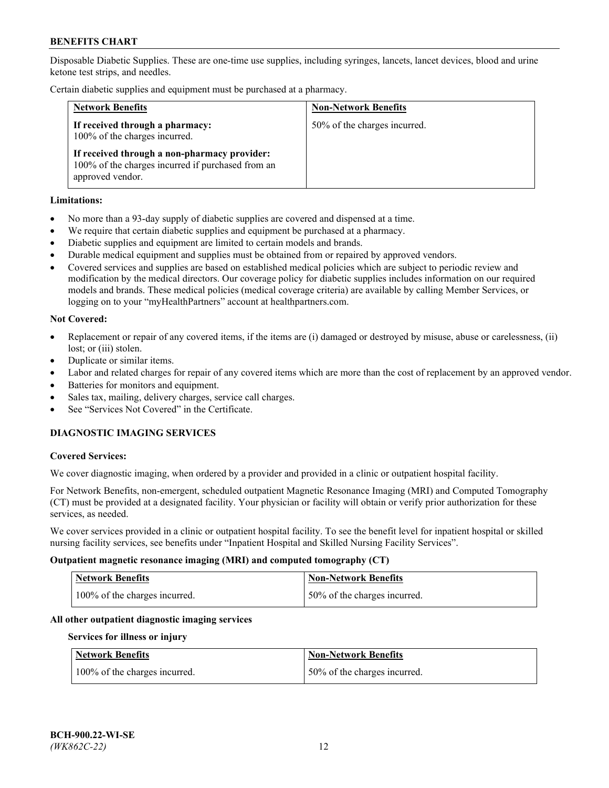Disposable Diabetic Supplies. These are one-time use supplies, including syringes, lancets, lancet devices, blood and urine ketone test strips, and needles.

Certain diabetic supplies and equipment must be purchased at a pharmacy.

| <b>Network Benefits</b>                                                                                               | <b>Non-Network Benefits</b>  |
|-----------------------------------------------------------------------------------------------------------------------|------------------------------|
| If received through a pharmacy:<br>100% of the charges incurred.                                                      | 50% of the charges incurred. |
| If received through a non-pharmacy provider:<br>100% of the charges incurred if purchased from an<br>approved vendor. |                              |

### **Limitations:**

- No more than a 93-day supply of diabetic supplies are covered and dispensed at a time.
- We require that certain diabetic supplies and equipment be purchased at a pharmacy.
- Diabetic supplies and equipment are limited to certain models and brands.
- Durable medical equipment and supplies must be obtained from or repaired by approved vendors.
- Covered services and supplies are based on established medical policies which are subject to periodic review and modification by the medical directors. Our coverage policy for diabetic supplies includes information on our required models and brands. These medical policies (medical coverage criteria) are available by calling Member Services, or logging on to your "myHealthPartners" account at [healthpartners.com.](http://www.healthpartners.com/)

### **Not Covered:**

- Replacement or repair of any covered items, if the items are (i) damaged or destroyed by misuse, abuse or carelessness, (ii) lost; or (iii) stolen.
- Duplicate or similar items.
- Labor and related charges for repair of any covered items which are more than the cost of replacement by an approved vendor.
- Batteries for monitors and equipment.
- Sales tax, mailing, delivery charges, service call charges.
- See "Services Not Covered" in the Certificate.

# **DIAGNOSTIC IMAGING SERVICES**

#### **Covered Services:**

We cover diagnostic imaging, when ordered by a provider and provided in a clinic or outpatient hospital facility.

For Network Benefits, non-emergent, scheduled outpatient Magnetic Resonance Imaging (MRI) and Computed Tomography (CT) must be provided at a designated facility. Your physician or facility will obtain or verify prior authorization for these services, as needed.

We cover services provided in a clinic or outpatient hospital facility. To see the benefit level for inpatient hospital or skilled nursing facility services, see benefits under "Inpatient Hospital and Skilled Nursing Facility Services".

#### **Outpatient magnetic resonance imaging (MRI) and computed tomography (CT)**

| <b>Network Benefits</b>       | <b>Non-Network Benefits</b>  |
|-------------------------------|------------------------------|
| 100% of the charges incurred. | 50% of the charges incurred. |

#### **All other outpatient diagnostic imaging services**

#### **Services for illness or injury**

| <b>Network Benefits</b>       | <b>Non-Network Benefits</b>  |
|-------------------------------|------------------------------|
| 100% of the charges incurred. | 50% of the charges incurred. |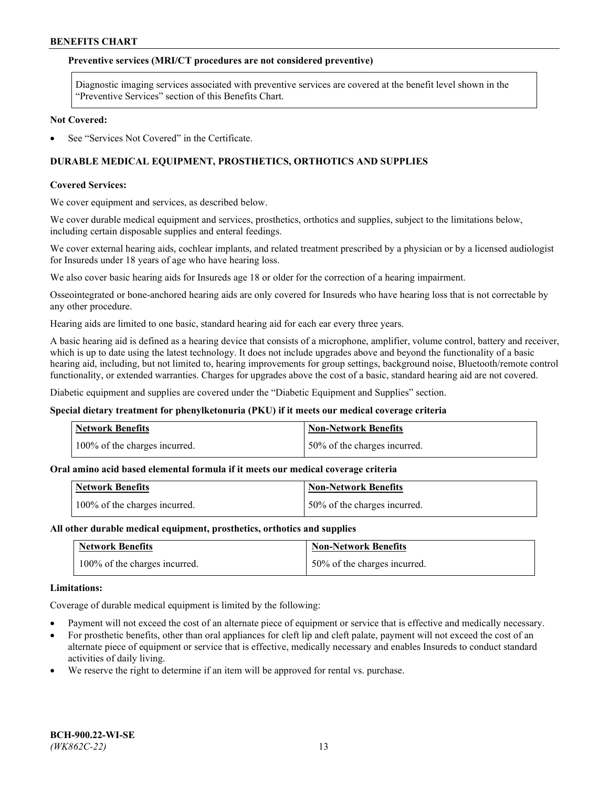### **Preventive services (MRI/CT procedures are not considered preventive)**

Diagnostic imaging services associated with preventive services are covered at the benefit level shown in the "Preventive Services" section of this Benefits Chart.

#### **Not Covered:**

See "Services Not Covered" in the Certificate.

# **DURABLE MEDICAL EQUIPMENT, PROSTHETICS, ORTHOTICS AND SUPPLIES**

### **Covered Services:**

We cover equipment and services, as described below.

We cover durable medical equipment and services, prosthetics, orthotics and supplies, subject to the limitations below, including certain disposable supplies and enteral feedings.

We cover external hearing aids, cochlear implants, and related treatment prescribed by a physician or by a licensed audiologist for Insureds under 18 years of age who have hearing loss.

We also cover basic hearing aids for Insureds age 18 or older for the correction of a hearing impairment.

Osseointegrated or bone-anchored hearing aids are only covered for Insureds who have hearing loss that is not correctable by any other procedure.

Hearing aids are limited to one basic, standard hearing aid for each ear every three years.

A basic hearing aid is defined as a hearing device that consists of a microphone, amplifier, volume control, battery and receiver, which is up to date using the latest technology. It does not include upgrades above and beyond the functionality of a basic hearing aid, including, but not limited to, hearing improvements for group settings, background noise, Bluetooth/remote control functionality, or extended warranties. Charges for upgrades above the cost of a basic, standard hearing aid are not covered.

Diabetic equipment and supplies are covered under the "Diabetic Equipment and Supplies" section.

#### **Special dietary treatment for phenylketonuria (PKU) if it meets our medical coverage criteria**

| <b>Network Benefits</b>       | <b>Non-Network Benefits</b>  |
|-------------------------------|------------------------------|
| 100% of the charges incurred. | 50% of the charges incurred. |

## **Oral amino acid based elemental formula if it meets our medical coverage criteria**

| <b>Network Benefits</b>       | Non-Network Benefits         |
|-------------------------------|------------------------------|
| 100% of the charges incurred. | 50% of the charges incurred. |

#### **All other durable medical equipment, prosthetics, orthotics and supplies**

| <b>Network Benefits</b>       | <b>Non-Network Benefits</b>  |
|-------------------------------|------------------------------|
| 100% of the charges incurred. | 50% of the charges incurred. |

#### **Limitations:**

Coverage of durable medical equipment is limited by the following:

- Payment will not exceed the cost of an alternate piece of equipment or service that is effective and medically necessary.
- For prosthetic benefits, other than oral appliances for cleft lip and cleft palate, payment will not exceed the cost of an alternate piece of equipment or service that is effective, medically necessary and enables Insureds to conduct standard activities of daily living.
- We reserve the right to determine if an item will be approved for rental vs. purchase.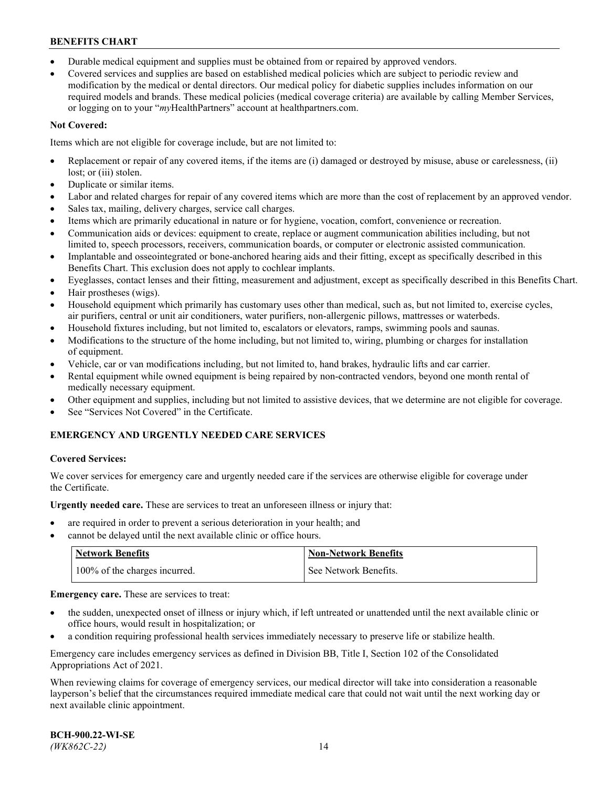- Durable medical equipment and supplies must be obtained from or repaired by approved vendors.
- Covered services and supplies are based on established medical policies which are subject to periodic review and modification by the medical or dental directors. Our medical policy for diabetic supplies includes information on our required models and brands. These medical policies (medical coverage criteria) are available by calling Member Services, or logging on to your "*my*HealthPartners" account a[t healthpartners.com.](http://www.healthpartners.com/)

# **Not Covered:**

Items which are not eligible for coverage include, but are not limited to:

- Replacement or repair of any covered items, if the items are (i) damaged or destroyed by misuse, abuse or carelessness, (ii) lost; or (iii) stolen.
- Duplicate or similar items.
- Labor and related charges for repair of any covered items which are more than the cost of replacement by an approved vendor.
- Sales tax, mailing, delivery charges, service call charges.
- Items which are primarily educational in nature or for hygiene, vocation, comfort, convenience or recreation.
- Communication aids or devices: equipment to create, replace or augment communication abilities including, but not limited to, speech processors, receivers, communication boards, or computer or electronic assisted communication.
- Implantable and osseointegrated or bone-anchored hearing aids and their fitting, except as specifically described in this Benefits Chart. This exclusion does not apply to cochlear implants.
- Eyeglasses, contact lenses and their fitting, measurement and adjustment, except as specifically described in this Benefits Chart.
- Hair prostheses (wigs).
- Household equipment which primarily has customary uses other than medical, such as, but not limited to, exercise cycles, air purifiers, central or unit air conditioners, water purifiers, non-allergenic pillows, mattresses or waterbeds.
- Household fixtures including, but not limited to, escalators or elevators, ramps, swimming pools and saunas.
- Modifications to the structure of the home including, but not limited to, wiring, plumbing or charges for installation of equipment.
- Vehicle, car or van modifications including, but not limited to, hand brakes, hydraulic lifts and car carrier.
- Rental equipment while owned equipment is being repaired by non-contracted vendors, beyond one month rental of medically necessary equipment.
- Other equipment and supplies, including but not limited to assistive devices, that we determine are not eligible for coverage.
- See "Services Not Covered" in the Certificate.

# **EMERGENCY AND URGENTLY NEEDED CARE SERVICES**

## **Covered Services:**

We cover services for emergency care and urgently needed care if the services are otherwise eligible for coverage under the Certificate.

**Urgently needed care.** These are services to treat an unforeseen illness or injury that:

- are required in order to prevent a serious deterioration in your health; and
- cannot be delayed until the next available clinic or office hours.

| <b>Network Benefits</b>       | Non-Network Benefits  |
|-------------------------------|-----------------------|
| 100% of the charges incurred. | See Network Benefits. |

**Emergency care.** These are services to treat:

- the sudden, unexpected onset of illness or injury which, if left untreated or unattended until the next available clinic or office hours, would result in hospitalization; or
- a condition requiring professional health services immediately necessary to preserve life or stabilize health.

Emergency care includes emergency services as defined in Division BB, Title I, Section 102 of the Consolidated Appropriations Act of 2021.

When reviewing claims for coverage of emergency services, our medical director will take into consideration a reasonable layperson's belief that the circumstances required immediate medical care that could not wait until the next working day or next available clinic appointment.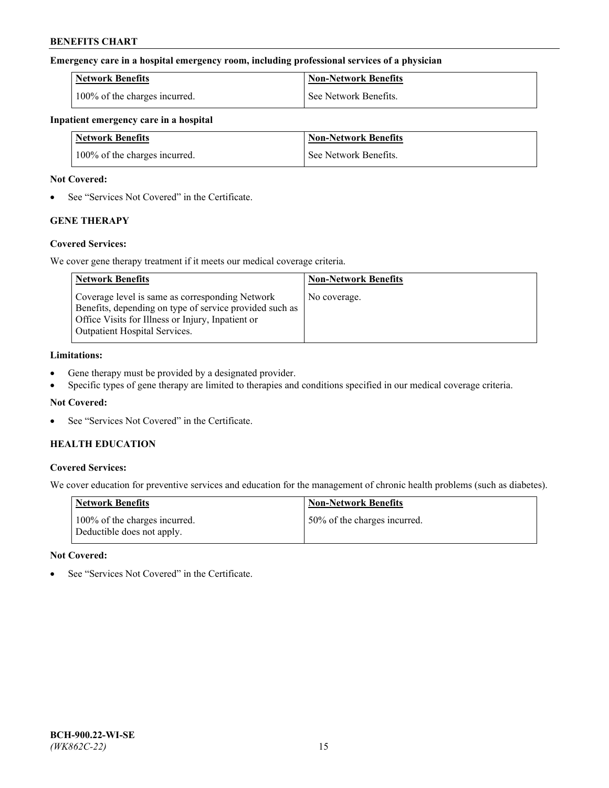### **Emergency care in a hospital emergency room, including professional services of a physician**

| <b>Network Benefits</b>       | <b>Non-Network Benefits</b> |
|-------------------------------|-----------------------------|
| 100% of the charges incurred. | See Network Benefits.       |

#### **Inpatient emergency care in a hospital**

| <b>Network Benefits</b>       | <b>Non-Network Benefits</b> |
|-------------------------------|-----------------------------|
| 100% of the charges incurred. | See Network Benefits.       |

### **Not Covered:**

• See "Services Not Covered" in the Certificate.

# **GENE THERAPY**

## **Covered Services:**

We cover gene therapy treatment if it meets our medical coverage criteria.

| <b>Network Benefits</b>                                                                                                                                                                                 | <b>Non-Network Benefits</b> |
|---------------------------------------------------------------------------------------------------------------------------------------------------------------------------------------------------------|-----------------------------|
| Coverage level is same as corresponding Network<br>Benefits, depending on type of service provided such as<br>Office Visits for Illness or Injury, Inpatient or<br><b>Outpatient Hospital Services.</b> | No coverage.                |

### **Limitations:**

- Gene therapy must be provided by a designated provider.
- Specific types of gene therapy are limited to therapies and conditions specified in our medical coverage criteria.

# **Not Covered:**

See "Services Not Covered" in the Certificate.

# **HEALTH EDUCATION**

## **Covered Services:**

We cover education for preventive services and education for the management of chronic health problems (such as diabetes).

| <b>Network Benefits</b>                                     | <b>Non-Network Benefits</b>  |
|-------------------------------------------------------------|------------------------------|
| 100% of the charges incurred.<br>Deductible does not apply. | 50% of the charges incurred. |

#### **Not Covered:**

See "Services Not Covered" in the Certificate.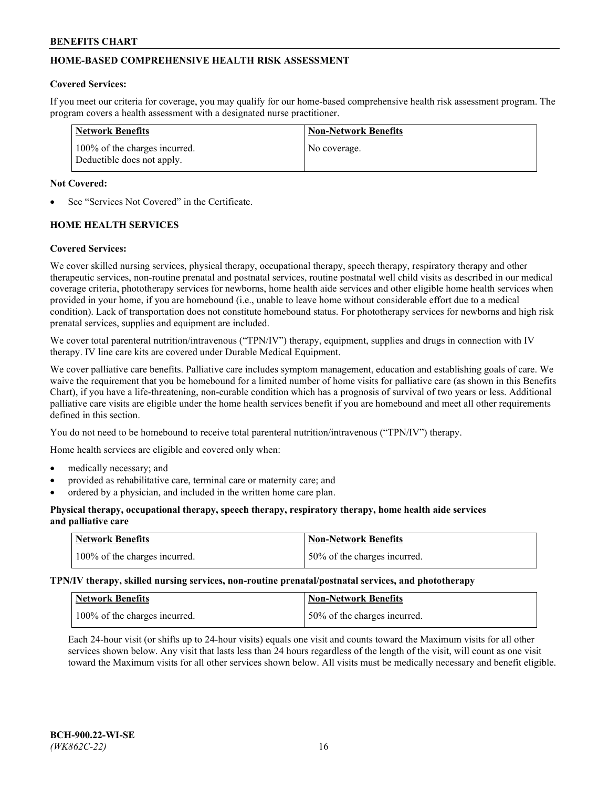# **HOME-BASED COMPREHENSIVE HEALTH RISK ASSESSMENT**

#### **Covered Services:**

If you meet our criteria for coverage, you may qualify for our home-based comprehensive health risk assessment program. The program covers a health assessment with a designated nurse practitioner.

| Network Benefits                                            | <b>Non-Network Benefits</b> |
|-------------------------------------------------------------|-----------------------------|
| 100% of the charges incurred.<br>Deductible does not apply. | No coverage.                |

### **Not Covered:**

See "Services Not Covered" in the Certificate.

# **HOME HEALTH SERVICES**

### **Covered Services:**

We cover skilled nursing services, physical therapy, occupational therapy, speech therapy, respiratory therapy and other therapeutic services, non-routine prenatal and postnatal services, routine postnatal well child visits as described in our medical coverage criteria, phototherapy services for newborns, home health aide services and other eligible home health services when provided in your home, if you are homebound (i.e., unable to leave home without considerable effort due to a medical condition). Lack of transportation does not constitute homebound status. For phototherapy services for newborns and high risk prenatal services, supplies and equipment are included.

We cover total parenteral nutrition/intravenous ("TPN/IV") therapy, equipment, supplies and drugs in connection with IV therapy. IV line care kits are covered under Durable Medical Equipment.

We cover palliative care benefits. Palliative care includes symptom management, education and establishing goals of care. We waive the requirement that you be homebound for a limited number of home visits for palliative care (as shown in this Benefits Chart), if you have a life-threatening, non-curable condition which has a prognosis of survival of two years or less. Additional palliative care visits are eligible under the home health services benefit if you are homebound and meet all other requirements defined in this section.

You do not need to be homebound to receive total parenteral nutrition/intravenous ("TPN/IV") therapy.

Home health services are eligible and covered only when:

- medically necessary; and
- provided as rehabilitative care, terminal care or maternity care; and
- ordered by a physician, and included in the written home care plan.

### **Physical therapy, occupational therapy, speech therapy, respiratory therapy, home health aide services and palliative care**

| <b>Network Benefits</b>       | <b>Non-Network Benefits</b>  |
|-------------------------------|------------------------------|
| 100% of the charges incurred. | 50% of the charges incurred. |

**TPN/IV therapy, skilled nursing services, non-routine prenatal/postnatal services, and phototherapy**

| <b>Network Benefits</b>       | <b>Non-Network Benefits</b>  |
|-------------------------------|------------------------------|
| 100% of the charges incurred. | 50% of the charges incurred. |

Each 24-hour visit (or shifts up to 24-hour visits) equals one visit and counts toward the Maximum visits for all other services shown below. Any visit that lasts less than 24 hours regardless of the length of the visit, will count as one visit toward the Maximum visits for all other services shown below. All visits must be medically necessary and benefit eligible.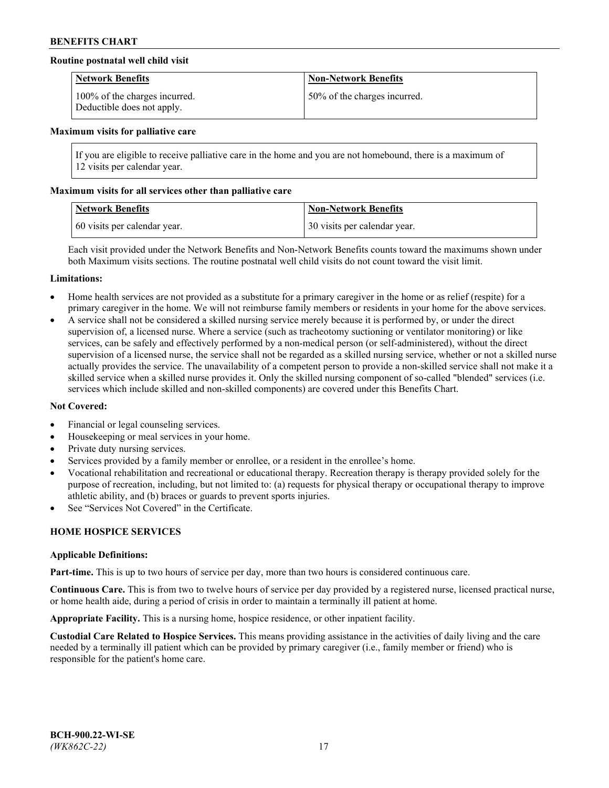## **Routine postnatal well child visit**

| <b>Network Benefits</b>                                     | <b>Non-Network Benefits</b>  |
|-------------------------------------------------------------|------------------------------|
| 100% of the charges incurred.<br>Deductible does not apply. | 50% of the charges incurred. |

#### **Maximum visits for palliative care**

If you are eligible to receive palliative care in the home and you are not homebound, there is a maximum of 12 visits per calendar year.

### **Maximum visits for all services other than palliative care**

| <b>Network Benefits</b>      | <b>Non-Network Benefits</b>  |
|------------------------------|------------------------------|
| 60 visits per calendar year. | 30 visits per calendar year. |

Each visit provided under the Network Benefits and Non-Network Benefits counts toward the maximums shown under both Maximum visits sections. The routine postnatal well child visits do not count toward the visit limit.

#### **Limitations:**

- Home health services are not provided as a substitute for a primary caregiver in the home or as relief (respite) for a primary caregiver in the home. We will not reimburse family members or residents in your home for the above services.
- A service shall not be considered a skilled nursing service merely because it is performed by, or under the direct supervision of, a licensed nurse. Where a service (such as tracheotomy suctioning or ventilator monitoring) or like services, can be safely and effectively performed by a non-medical person (or self-administered), without the direct supervision of a licensed nurse, the service shall not be regarded as a skilled nursing service, whether or not a skilled nurse actually provides the service. The unavailability of a competent person to provide a non-skilled service shall not make it a skilled service when a skilled nurse provides it. Only the skilled nursing component of so-called "blended" services (i.e. services which include skilled and non-skilled components) are covered under this Benefits Chart.

#### **Not Covered:**

- Financial or legal counseling services.
- Housekeeping or meal services in your home.
- Private duty nursing services.
- Services provided by a family member or enrollee, or a resident in the enrollee's home.
- Vocational rehabilitation and recreational or educational therapy. Recreation therapy is therapy provided solely for the purpose of recreation, including, but not limited to: (a) requests for physical therapy or occupational therapy to improve athletic ability, and (b) braces or guards to prevent sports injuries.
- See "Services Not Covered" in the Certificate.

# **HOME HOSPICE SERVICES**

#### **Applicable Definitions:**

**Part-time.** This is up to two hours of service per day, more than two hours is considered continuous care.

**Continuous Care.** This is from two to twelve hours of service per day provided by a registered nurse, licensed practical nurse, or home health aide, during a period of crisis in order to maintain a terminally ill patient at home.

**Appropriate Facility.** This is a nursing home, hospice residence, or other inpatient facility.

**Custodial Care Related to Hospice Services.** This means providing assistance in the activities of daily living and the care needed by a terminally ill patient which can be provided by primary caregiver (i.e., family member or friend) who is responsible for the patient's home care.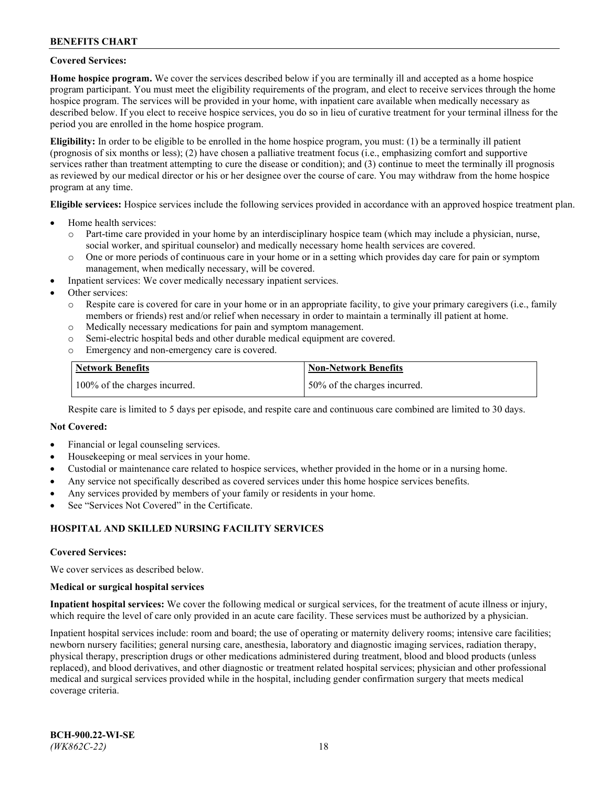### **Covered Services:**

**Home hospice program.** We cover the services described below if you are terminally ill and accepted as a home hospice program participant. You must meet the eligibility requirements of the program, and elect to receive services through the home hospice program. The services will be provided in your home, with inpatient care available when medically necessary as described below. If you elect to receive hospice services, you do so in lieu of curative treatment for your terminal illness for the period you are enrolled in the home hospice program.

**Eligibility:** In order to be eligible to be enrolled in the home hospice program, you must: (1) be a terminally ill patient (prognosis of six months or less); (2) have chosen a palliative treatment focus (i.e., emphasizing comfort and supportive services rather than treatment attempting to cure the disease or condition); and (3) continue to meet the terminally ill prognosis as reviewed by our medical director or his or her designee over the course of care. You may withdraw from the home hospice program at any time.

**Eligible services:** Hospice services include the following services provided in accordance with an approved hospice treatment plan.

- Home health services:
	- o Part-time care provided in your home by an interdisciplinary hospice team (which may include a physician, nurse, social worker, and spiritual counselor) and medically necessary home health services are covered.
	- o One or more periods of continuous care in your home or in a setting which provides day care for pain or symptom management, when medically necessary, will be covered.
- Inpatient services: We cover medically necessary inpatient services.
- Other services:
	- o Respite care is covered for care in your home or in an appropriate facility, to give your primary caregivers (i.e., family members or friends) rest and/or relief when necessary in order to maintain a terminally ill patient at home.
	- o Medically necessary medications for pain and symptom management.
	- o Semi-electric hospital beds and other durable medical equipment are covered.
	- Emergency and non-emergency care is covered.

| Network Benefits              | <b>Non-Network Benefits</b>  |
|-------------------------------|------------------------------|
| 100% of the charges incurred. | 50% of the charges incurred. |

Respite care is limited to 5 days per episode, and respite care and continuous care combined are limited to 30 days.

### **Not Covered:**

- Financial or legal counseling services.
- Housekeeping or meal services in your home.
- Custodial or maintenance care related to hospice services, whether provided in the home or in a nursing home.
- Any service not specifically described as covered services under this home hospice services benefits.
- Any services provided by members of your family or residents in your home.
- See "Services Not Covered" in the Certificate.

## **HOSPITAL AND SKILLED NURSING FACILITY SERVICES**

#### **Covered Services:**

We cover services as described below.

#### **Medical or surgical hospital services**

**Inpatient hospital services:** We cover the following medical or surgical services, for the treatment of acute illness or injury, which require the level of care only provided in an acute care facility. These services must be authorized by a physician.

Inpatient hospital services include: room and board; the use of operating or maternity delivery rooms; intensive care facilities; newborn nursery facilities; general nursing care, anesthesia, laboratory and diagnostic imaging services, radiation therapy, physical therapy, prescription drugs or other medications administered during treatment, blood and blood products (unless replaced), and blood derivatives, and other diagnostic or treatment related hospital services; physician and other professional medical and surgical services provided while in the hospital, including gender confirmation surgery that meets medical coverage criteria.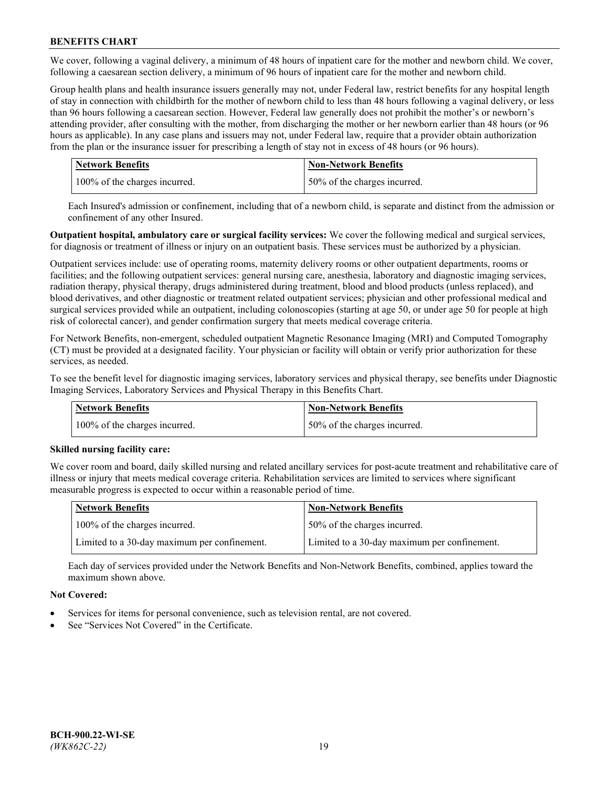We cover, following a vaginal delivery, a minimum of 48 hours of inpatient care for the mother and newborn child. We cover, following a caesarean section delivery, a minimum of 96 hours of inpatient care for the mother and newborn child.

Group health plans and health insurance issuers generally may not, under Federal law, restrict benefits for any hospital length of stay in connection with childbirth for the mother of newborn child to less than 48 hours following a vaginal delivery, or less than 96 hours following a caesarean section. However, Federal law generally does not prohibit the mother's or newborn's attending provider, after consulting with the mother, from discharging the mother or her newborn earlier than 48 hours (or 96 hours as applicable). In any case plans and issuers may not, under Federal law, require that a provider obtain authorization from the plan or the insurance issuer for prescribing a length of stay not in excess of 48 hours (or 96 hours).

| <b>Network Benefits</b>       | <b>Non-Network Benefits</b>  |
|-------------------------------|------------------------------|
| 100% of the charges incurred. | 50% of the charges incurred. |

Each Insured's admission or confinement, including that of a newborn child, is separate and distinct from the admission or confinement of any other Insured.

**Outpatient hospital, ambulatory care or surgical facility services:** We cover the following medical and surgical services, for diagnosis or treatment of illness or injury on an outpatient basis. These services must be authorized by a physician.

Outpatient services include: use of operating rooms, maternity delivery rooms or other outpatient departments, rooms or facilities; and the following outpatient services: general nursing care, anesthesia, laboratory and diagnostic imaging services, radiation therapy, physical therapy, drugs administered during treatment, blood and blood products (unless replaced), and blood derivatives, and other diagnostic or treatment related outpatient services; physician and other professional medical and surgical services provided while an outpatient, including colonoscopies (starting at age 50, or under age 50 for people at high risk of colorectal cancer), and gender confirmation surgery that meets medical coverage criteria.

For Network Benefits, non-emergent, scheduled outpatient Magnetic Resonance Imaging (MRI) and Computed Tomography (CT) must be provided at a designated facility. Your physician or facility will obtain or verify prior authorization for these services, as needed.

To see the benefit level for diagnostic imaging services, laboratory services and physical therapy, see benefits under Diagnostic Imaging Services, Laboratory Services and Physical Therapy in this Benefits Chart.

| <b>Network Benefits</b>       | <b>Non-Network Benefits</b>  |
|-------------------------------|------------------------------|
| 100% of the charges incurred. | 50% of the charges incurred. |

## **Skilled nursing facility care:**

We cover room and board, daily skilled nursing and related ancillary services for post-acute treatment and rehabilitative care of illness or injury that meets medical coverage criteria. Rehabilitation services are limited to services where significant measurable progress is expected to occur within a reasonable period of time.

| Network Benefits                             | <b>Non-Network Benefits</b>                  |
|----------------------------------------------|----------------------------------------------|
| 100% of the charges incurred.                | 50% of the charges incurred.                 |
| Limited to a 30-day maximum per confinement. | Limited to a 30-day maximum per confinement. |

Each day of services provided under the Network Benefits and Non-Network Benefits, combined, applies toward the maximum shown above.

## **Not Covered:**

- Services for items for personal convenience, such as television rental, are not covered.
- See "Services Not Covered" in the Certificate.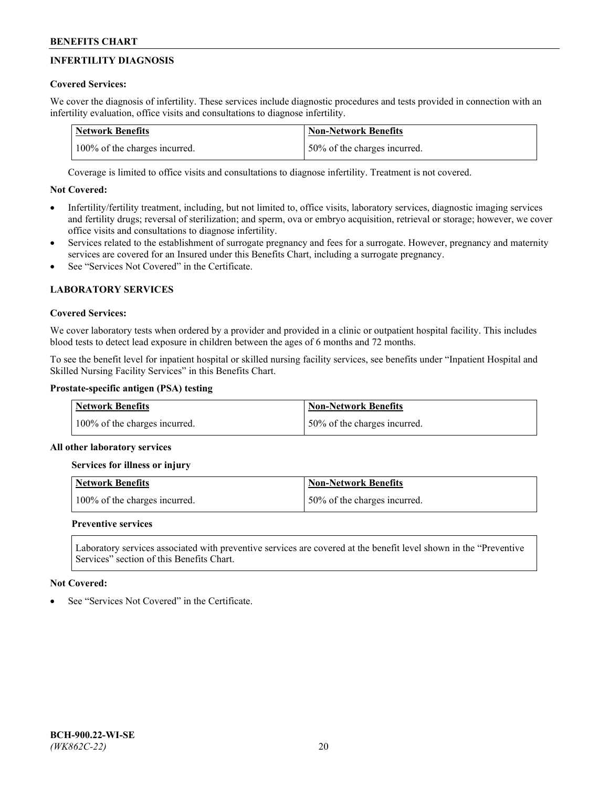# **INFERTILITY DIAGNOSIS**

# **Covered Services:**

We cover the diagnosis of infertility. These services include diagnostic procedures and tests provided in connection with an infertility evaluation, office visits and consultations to diagnose infertility.

| <b>Network Benefits</b>       | <b>Non-Network Benefits</b>  |
|-------------------------------|------------------------------|
| 100% of the charges incurred. | 50% of the charges incurred. |

Coverage is limited to office visits and consultations to diagnose infertility. Treatment is not covered.

# **Not Covered:**

- Infertility/fertility treatment, including, but not limited to, office visits, laboratory services, diagnostic imaging services and fertility drugs; reversal of sterilization; and sperm, ova or embryo acquisition, retrieval or storage; however, we cover office visits and consultations to diagnose infertility.
- Services related to the establishment of surrogate pregnancy and fees for a surrogate. However, pregnancy and maternity services are covered for an Insured under this Benefits Chart, including a surrogate pregnancy.
- See "Services Not Covered" in the Certificate

# **LABORATORY SERVICES**

## **Covered Services:**

We cover laboratory tests when ordered by a provider and provided in a clinic or outpatient hospital facility. This includes blood tests to detect lead exposure in children between the ages of 6 months and 72 months.

To see the benefit level for inpatient hospital or skilled nursing facility services, see benefits under "Inpatient Hospital and Skilled Nursing Facility Services" in this Benefits Chart.

# **Prostate-specific antigen (PSA) testing**

| <b>Network Benefits</b>       | <b>Non-Network Benefits</b>  |
|-------------------------------|------------------------------|
| 100% of the charges incurred. | 50% of the charges incurred. |

## **All other laboratory services**

**Services for illness or injury**

| <b>Network Benefits</b>       | 'Non-Network Benefits        |
|-------------------------------|------------------------------|
| 100% of the charges incurred. | 50% of the charges incurred. |

## **Preventive services**

Laboratory services associated with preventive services are covered at the benefit level shown in the "Preventive Services" section of this Benefits Chart.

## **Not Covered:**

See "Services Not Covered" in the Certificate.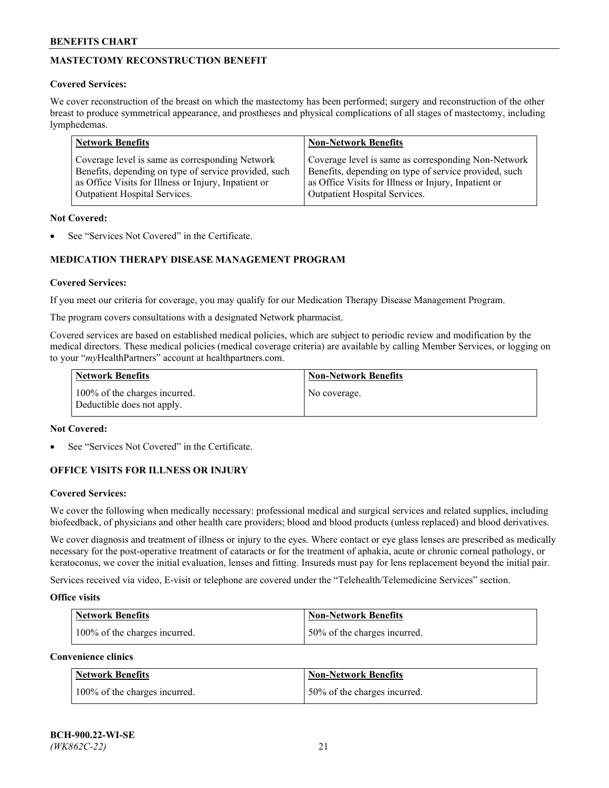# **MASTECTOMY RECONSTRUCTION BENEFIT**

## **Covered Services:**

We cover reconstruction of the breast on which the mastectomy has been performed; surgery and reconstruction of the other breast to produce symmetrical appearance, and prostheses and physical complications of all stages of mastectomy, including lymphedemas.

| <b>Network Benefits</b>                               | <b>Non-Network Benefits</b>                           |
|-------------------------------------------------------|-------------------------------------------------------|
| Coverage level is same as corresponding Network       | Coverage level is same as corresponding Non-Network   |
| Benefits, depending on type of service provided, such | Benefits, depending on type of service provided, such |
| as Office Visits for Illness or Injury, Inpatient or  | as Office Visits for Illness or Injury, Inpatient or  |
| Outpatient Hospital Services.                         | Outpatient Hospital Services.                         |

### **Not Covered:**

See "Services Not Covered" in the Certificate.

# **MEDICATION THERAPY DISEASE MANAGEMENT PROGRAM**

## **Covered Services:**

If you meet our criteria for coverage, you may qualify for our Medication Therapy Disease Management Program.

The program covers consultations with a designated Network pharmacist.

Covered services are based on established medical policies, which are subject to periodic review and modification by the medical directors. These medical policies (medical coverage criteria) are available by calling Member Services, or logging on to your "*my*HealthPartners" account at [healthpartners.com.](http://www.healthpartners.com/)

| Network Benefits                                            | <b>Non-Network Benefits</b> |
|-------------------------------------------------------------|-----------------------------|
| 100% of the charges incurred.<br>Deductible does not apply. | No coverage.                |

### **Not Covered:**

See "Services Not Covered" in the Certificate.

## **OFFICE VISITS FOR ILLNESS OR INJURY**

#### **Covered Services:**

We cover the following when medically necessary: professional medical and surgical services and related supplies, including biofeedback, of physicians and other health care providers; blood and blood products (unless replaced) and blood derivatives.

We cover diagnosis and treatment of illness or injury to the eyes. Where contact or eye glass lenses are prescribed as medically necessary for the post-operative treatment of cataracts or for the treatment of aphakia, acute or chronic corneal pathology, or keratoconus, we cover the initial evaluation, lenses and fitting. Insureds must pay for lens replacement beyond the initial pair.

Services received via video, E-visit or telephone are covered under the "Telehealth/Telemedicine Services" section.

#### **Office visits**

| <b>Network Benefits</b>       | <b>Non-Network Benefits</b>  |
|-------------------------------|------------------------------|
| 100% of the charges incurred. | 50% of the charges incurred. |

**Convenience clinics**

| <b>Network Benefits</b>       | <b>Non-Network Benefits</b>   |
|-------------------------------|-------------------------------|
| 100% of the charges incurred. | 150% of the charges incurred. |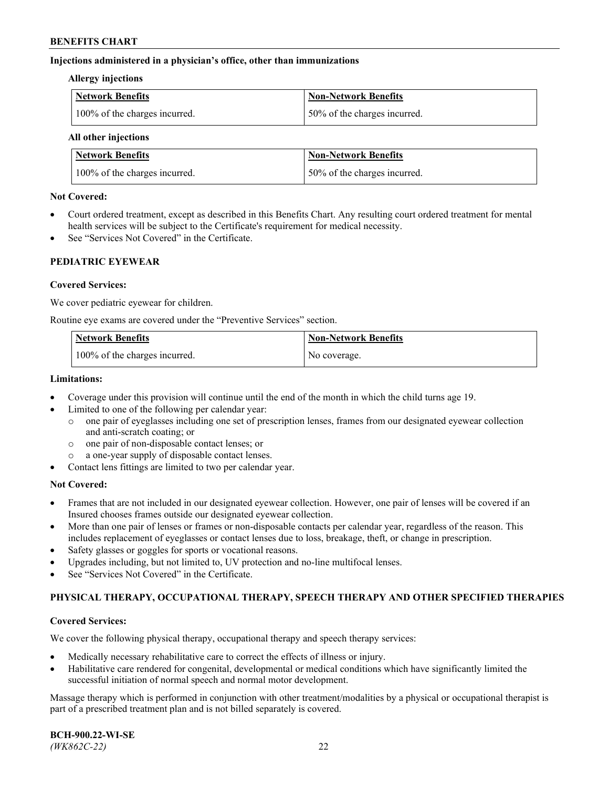### **Injections administered in a physician's office, other than immunizations**

#### **Allergy injections**

| Network Benefits              | Non-Network Benefits         |
|-------------------------------|------------------------------|
| 100% of the charges incurred. | 50% of the charges incurred. |

#### **All other injections**

| <b>Network Benefits</b>       | <b>Non-Network Benefits</b>  |
|-------------------------------|------------------------------|
| 100% of the charges incurred. | 50% of the charges incurred. |

### **Not Covered:**

- Court ordered treatment, except as described in this Benefits Chart. Any resulting court ordered treatment for mental health services will be subject to the Certificate's requirement for medical necessity.
- See "Services Not Covered" in the Certificate.

### **PEDIATRIC EYEWEAR**

### **Covered Services:**

We cover pediatric eyewear for children.

Routine eye exams are covered under the "Preventive Services" section.

| Network Benefits              | <b>Non-Network Benefits</b> |
|-------------------------------|-----------------------------|
| 100% of the charges incurred. | No coverage.                |

#### **Limitations:**

- Coverage under this provision will continue until the end of the month in which the child turns age 19.
- Limited to one of the following per calendar year:
	- o one pair of eyeglasses including one set of prescription lenses, frames from our designated eyewear collection and anti-scratch coating; or
	- o one pair of non-disposable contact lenses; or
	- o a one-year supply of disposable contact lenses.
- Contact lens fittings are limited to two per calendar year.

## **Not Covered:**

- Frames that are not included in our designated eyewear collection. However, one pair of lenses will be covered if an Insured chooses frames outside our designated eyewear collection.
- More than one pair of lenses or frames or non-disposable contacts per calendar year, regardless of the reason. This includes replacement of eyeglasses or contact lenses due to loss, breakage, theft, or change in prescription.
- Safety glasses or goggles for sports or vocational reasons.
- Upgrades including, but not limited to, UV protection and no-line multifocal lenses.
- See "Services Not Covered" in the Certificate.

## **PHYSICAL THERAPY, OCCUPATIONAL THERAPY, SPEECH THERAPY AND OTHER SPECIFIED THERAPIES**

#### **Covered Services:**

We cover the following physical therapy, occupational therapy and speech therapy services:

- Medically necessary rehabilitative care to correct the effects of illness or injury.
- Habilitative care rendered for congenital, developmental or medical conditions which have significantly limited the successful initiation of normal speech and normal motor development.

Massage therapy which is performed in conjunction with other treatment/modalities by a physical or occupational therapist is part of a prescribed treatment plan and is not billed separately is covered.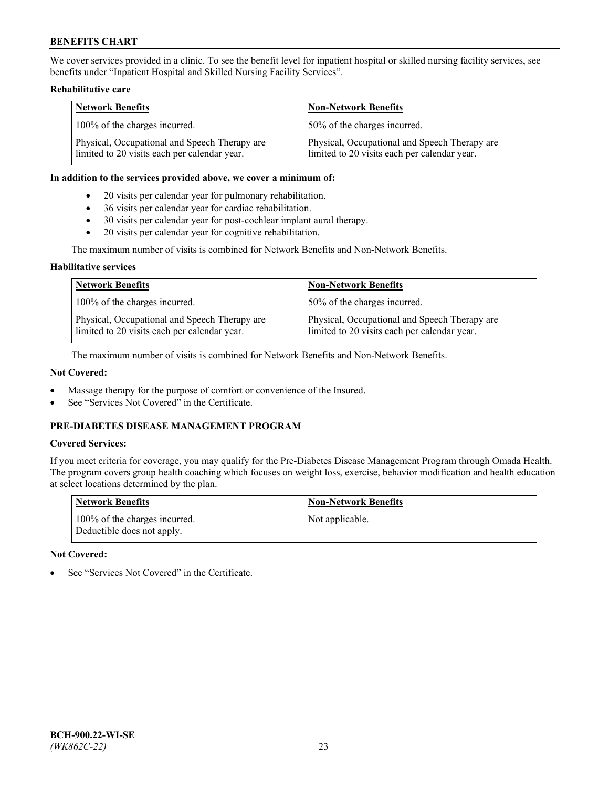We cover services provided in a clinic. To see the benefit level for inpatient hospital or skilled nursing facility services, see benefits under "Inpatient Hospital and Skilled Nursing Facility Services".

### **Rehabilitative care**

| <b>Network Benefits</b>                                                                       | <b>Non-Network Benefits</b>                                                                   |
|-----------------------------------------------------------------------------------------------|-----------------------------------------------------------------------------------------------|
| 100% of the charges incurred.                                                                 | 50% of the charges incurred.                                                                  |
| Physical, Occupational and Speech Therapy are<br>limited to 20 visits each per calendar year. | Physical, Occupational and Speech Therapy are<br>limited to 20 visits each per calendar year. |

#### **In addition to the services provided above, we cover a minimum of:**

- 20 visits per calendar year for pulmonary rehabilitation.
- 36 visits per calendar year for cardiac rehabilitation.
- 30 visits per calendar year for post-cochlear implant aural therapy.
- 20 visits per calendar year for cognitive rehabilitation.

The maximum number of visits is combined for Network Benefits and Non-Network Benefits.

### **Habilitative services**

| <b>Network Benefits</b>                                                                       | <b>Non-Network Benefits</b>                                                                   |
|-----------------------------------------------------------------------------------------------|-----------------------------------------------------------------------------------------------|
| 100% of the charges incurred.                                                                 | 50% of the charges incurred.                                                                  |
| Physical, Occupational and Speech Therapy are<br>limited to 20 visits each per calendar year. | Physical, Occupational and Speech Therapy are<br>limited to 20 visits each per calendar year. |

The maximum number of visits is combined for Network Benefits and Non-Network Benefits.

## **Not Covered:**

- Massage therapy for the purpose of comfort or convenience of the Insured.
- See "Services Not Covered" in the Certificate.

# **PRE-DIABETES DISEASE MANAGEMENT PROGRAM**

# **Covered Services:**

If you meet criteria for coverage, you may qualify for the Pre-Diabetes Disease Management Program through Omada Health. The program covers group health coaching which focuses on weight loss, exercise, behavior modification and health education at select locations determined by the plan.

| <b>Network Benefits</b>                                     | <b>Non-Network Benefits</b> |
|-------------------------------------------------------------|-----------------------------|
| 100% of the charges incurred.<br>Deductible does not apply. | Not applicable.             |

## **Not Covered:**

See "Services Not Covered" in the Certificate.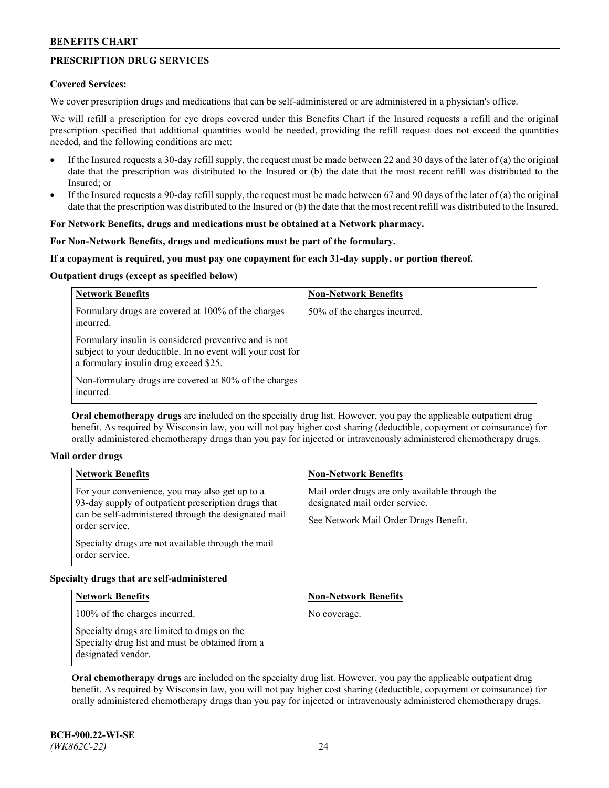# **PRESCRIPTION DRUG SERVICES**

### **Covered Services:**

We cover prescription drugs and medications that can be self-administered or are administered in a physician's office.

We will refill a prescription for eye drops covered under this Benefits Chart if the Insured requests a refill and the original prescription specified that additional quantities would be needed, providing the refill request does not exceed the quantities needed, and the following conditions are met:

- If the Insured requests a 30-day refill supply, the request must be made between 22 and 30 days of the later of (a) the original date that the prescription was distributed to the Insured or (b) the date that the most recent refill was distributed to the Insured; or
- If the Insured requests a 90-day refill supply, the request must be made between 67 and 90 days of the later of (a) the original date that the prescription was distributed to the Insured or (b) the date that the most recent refill was distributed to the Insured.

# **For Network Benefits, drugs and medications must be obtained at a Network pharmacy.**

### **For Non-Network Benefits, drugs and medications must be part of the formulary.**

### **If a copayment is required, you must pay one copayment for each 31-day supply, or portion thereof.**

### **Outpatient drugs (except as specified below)**

| <b>Network Benefits</b>                                                                                                                                      | <b>Non-Network Benefits</b>  |
|--------------------------------------------------------------------------------------------------------------------------------------------------------------|------------------------------|
| Formulary drugs are covered at 100% of the charges<br>incurred.                                                                                              | 50% of the charges incurred. |
| Formulary insulin is considered preventive and is not<br>subject to your deductible. In no event will your cost for<br>a formulary insulin drug exceed \$25. |                              |
| Non-formulary drugs are covered at 80% of the charges<br>incurred.                                                                                           |                              |

**Oral chemotherapy drugs** are included on the specialty drug list. However, you pay the applicable outpatient drug benefit. As required by Wisconsin law, you will not pay higher cost sharing (deductible, copayment or coinsurance) for orally administered chemotherapy drugs than you pay for injected or intravenously administered chemotherapy drugs.

#### **Mail order drugs**

| <b>Network Benefits</b>                                                                                                                                                                                                                                 | <b>Non-Network Benefits</b>                                                                                                |
|---------------------------------------------------------------------------------------------------------------------------------------------------------------------------------------------------------------------------------------------------------|----------------------------------------------------------------------------------------------------------------------------|
| For your convenience, you may also get up to a<br>93-day supply of outpatient prescription drugs that<br>can be self-administered through the designated mail<br>order service.<br>Specialty drugs are not available through the mail<br>order service. | Mail order drugs are only available through the<br>designated mail order service.<br>See Network Mail Order Drugs Benefit. |

## **Specialty drugs that are self-administered**

| <b>Network Benefits</b>                                                                                              | <b>Non-Network Benefits</b> |
|----------------------------------------------------------------------------------------------------------------------|-----------------------------|
| 100% of the charges incurred.                                                                                        | No coverage.                |
| Specialty drugs are limited to drugs on the<br>Specialty drug list and must be obtained from a<br>designated vendor. |                             |

**Oral chemotherapy drugs** are included on the specialty drug list. However, you pay the applicable outpatient drug benefit. As required by Wisconsin law, you will not pay higher cost sharing (deductible, copayment or coinsurance) for orally administered chemotherapy drugs than you pay for injected or intravenously administered chemotherapy drugs.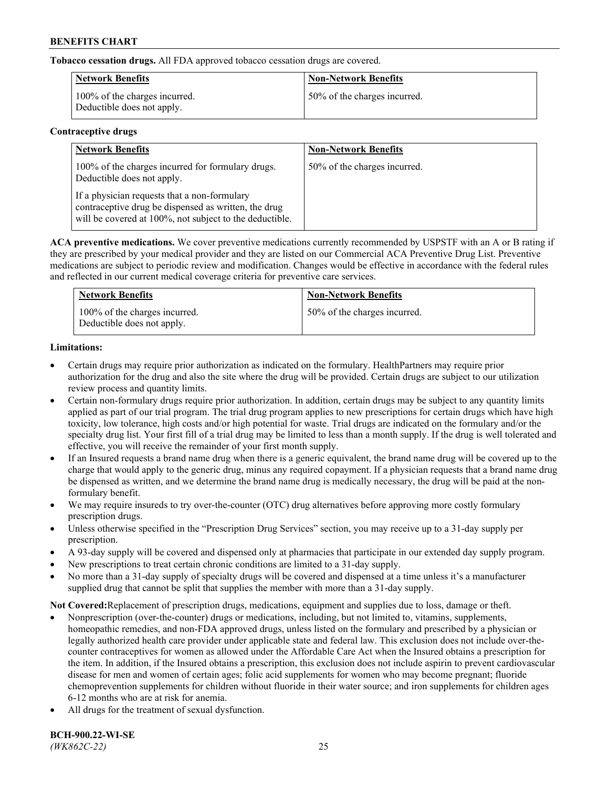**Tobacco cessation drugs.** All FDA approved tobacco cessation drugs are covered.

| Network Benefits                                            | <b>Non-Network Benefits</b>  |
|-------------------------------------------------------------|------------------------------|
| 100% of the charges incurred.<br>Deductible does not apply. | 50% of the charges incurred. |

# **Contraceptive drugs**

| <b>Network Benefits</b>                                                                                                                                         | <b>Non-Network Benefits</b>  |
|-----------------------------------------------------------------------------------------------------------------------------------------------------------------|------------------------------|
| 100% of the charges incurred for formulary drugs.<br>Deductible does not apply.                                                                                 | 50% of the charges incurred. |
| If a physician requests that a non-formulary<br>contraceptive drug be dispensed as written, the drug<br>will be covered at 100%, not subject to the deductible. |                              |

**ACA preventive medications.** We cover preventive medications currently recommended by USPSTF with an A or B rating if they are prescribed by your medical provider and they are listed on our Commercial ACA Preventive Drug List. Preventive medications are subject to periodic review and modification. Changes would be effective in accordance with the federal rules and reflected in our current medical coverage criteria for preventive care services.

| <b>Network Benefits</b>                                     | <b>Non-Network Benefits</b>  |
|-------------------------------------------------------------|------------------------------|
| 100% of the charges incurred.<br>Deductible does not apply. | 50% of the charges incurred. |

# **Limitations:**

- Certain drugs may require prior authorization as indicated on the formulary. HealthPartners may require prior authorization for the drug and also the site where the drug will be provided. Certain drugs are subject to our utilization review process and quantity limits.
- Certain non-formulary drugs require prior authorization. In addition, certain drugs may be subject to any quantity limits applied as part of our trial program. The trial drug program applies to new prescriptions for certain drugs which have high toxicity, low tolerance, high costs and/or high potential for waste. Trial drugs are indicated on the formulary and/or the specialty drug list. Your first fill of a trial drug may be limited to less than a month supply. If the drug is well tolerated and effective, you will receive the remainder of your first month supply.
- If an Insured requests a brand name drug when there is a generic equivalent, the brand name drug will be covered up to the charge that would apply to the generic drug, minus any required copayment. If a physician requests that a brand name drug be dispensed as written, and we determine the brand name drug is medically necessary, the drug will be paid at the nonformulary benefit.
- We may require insureds to try over-the-counter (OTC) drug alternatives before approving more costly formulary prescription drugs.
- Unless otherwise specified in the "Prescription Drug Services" section, you may receive up to a 31-day supply per prescription.
- A 93-day supply will be covered and dispensed only at pharmacies that participate in our extended day supply program.
- New prescriptions to treat certain chronic conditions are limited to a 31-day supply.
- No more than a 31-day supply of specialty drugs will be covered and dispensed at a time unless it's a manufacturer supplied drug that cannot be split that supplies the member with more than a 31-day supply.

**Not Covered:**Replacement of prescription drugs, medications, equipment and supplies due to loss, damage or theft.

- Nonprescription (over-the-counter) drugs or medications, including, but not limited to, vitamins, supplements, homeopathic remedies, and non-FDA approved drugs, unless listed on the formulary and prescribed by a physician or legally authorized health care provider under applicable state and federal law. This exclusion does not include over-thecounter contraceptives for women as allowed under the Affordable Care Act when the Insured obtains a prescription for the item. In addition, if the Insured obtains a prescription, this exclusion does not include aspirin to prevent cardiovascular disease for men and women of certain ages; folic acid supplements for women who may become pregnant; fluoride chemoprevention supplements for children without fluoride in their water source; and iron supplements for children ages 6-12 months who are at risk for anemia.
- All drugs for the treatment of sexual dysfunction.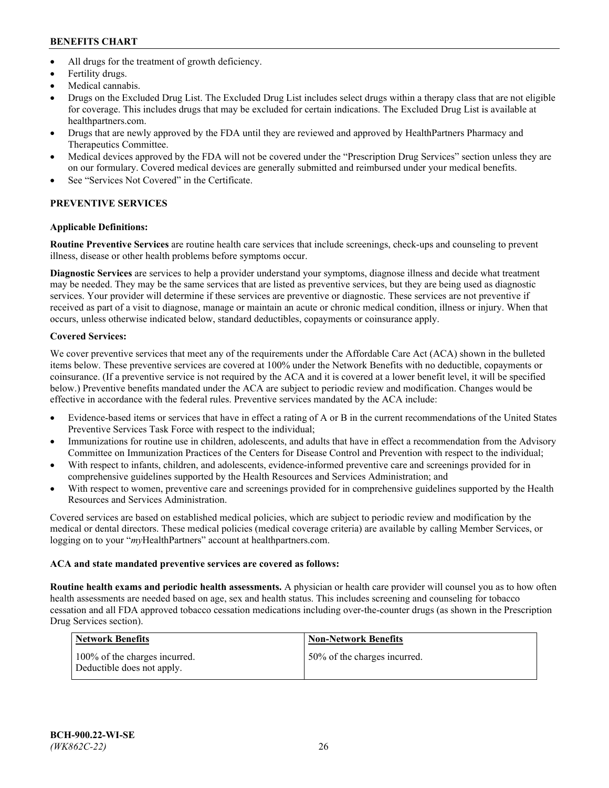- All drugs for the treatment of growth deficiency.
- Fertility drugs.
- Medical cannabis.
- Drugs on the Excluded Drug List. The Excluded Drug List includes select drugs within a therapy class that are not eligible for coverage. This includes drugs that may be excluded for certain indications. The Excluded Drug List is available at [healthpartners.com.](http://www.healthpartners.com/)
- Drugs that are newly approved by the FDA until they are reviewed and approved by HealthPartners Pharmacy and Therapeutics Committee.
- Medical devices approved by the FDA will not be covered under the "Prescription Drug Services" section unless they are on our formulary. Covered medical devices are generally submitted and reimbursed under your medical benefits.
- See "Services Not Covered" in the Certificate.

# **PREVENTIVE SERVICES**

# **Applicable Definitions:**

**Routine Preventive Services** are routine health care services that include screenings, check-ups and counseling to prevent illness, disease or other health problems before symptoms occur.

**Diagnostic Services** are services to help a provider understand your symptoms, diagnose illness and decide what treatment may be needed. They may be the same services that are listed as preventive services, but they are being used as diagnostic services. Your provider will determine if these services are preventive or diagnostic. These services are not preventive if received as part of a visit to diagnose, manage or maintain an acute or chronic medical condition, illness or injury. When that occurs, unless otherwise indicated below, standard deductibles, copayments or coinsurance apply.

# **Covered Services:**

We cover preventive services that meet any of the requirements under the Affordable Care Act (ACA) shown in the bulleted items below. These preventive services are covered at 100% under the Network Benefits with no deductible, copayments or coinsurance. (If a preventive service is not required by the ACA and it is covered at a lower benefit level, it will be specified below.) Preventive benefits mandated under the ACA are subject to periodic review and modification. Changes would be effective in accordance with the federal rules. Preventive services mandated by the ACA include:

- Evidence-based items or services that have in effect a rating of A or B in the current recommendations of the United States Preventive Services Task Force with respect to the individual;
- Immunizations for routine use in children, adolescents, and adults that have in effect a recommendation from the Advisory Committee on Immunization Practices of the Centers for Disease Control and Prevention with respect to the individual;
- With respect to infants, children, and adolescents, evidence-informed preventive care and screenings provided for in comprehensive guidelines supported by the Health Resources and Services Administration; and
- With respect to women, preventive care and screenings provided for in comprehensive guidelines supported by the Health Resources and Services Administration.

Covered services are based on established medical policies, which are subject to periodic review and modification by the medical or dental directors. These medical policies (medical coverage criteria) are available by calling Member Services, or logging on to your "*my*HealthPartners" account at [healthpartners.com.](https://www.healthpartners.com/hp/index.html)

# **ACA and state mandated preventive services are covered as follows:**

**Routine health exams and periodic health assessments.** A physician or health care provider will counsel you as to how often health assessments are needed based on age, sex and health status. This includes screening and counseling for tobacco cessation and all FDA approved tobacco cessation medications including over-the-counter drugs (as shown in the Prescription Drug Services section).

| Network Benefits                                            | <b>Non-Network Benefits</b>  |
|-------------------------------------------------------------|------------------------------|
| 100% of the charges incurred.<br>Deductible does not apply. | 50% of the charges incurred. |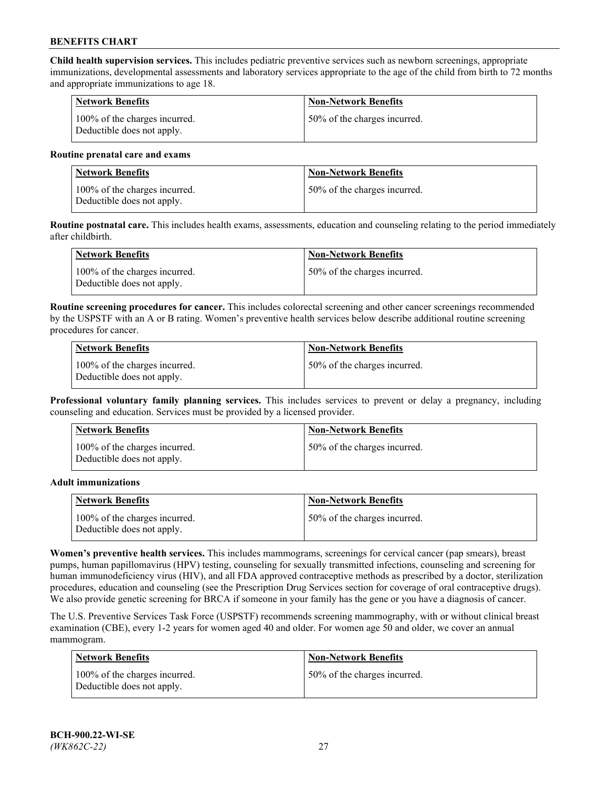**Child health supervision services.** This includes pediatric preventive services such as newborn screenings, appropriate immunizations, developmental assessments and laboratory services appropriate to the age of the child from birth to 72 months and appropriate immunizations to age 18.

| Network Benefits                                            | <b>Non-Network Benefits</b>   |
|-------------------------------------------------------------|-------------------------------|
| 100% of the charges incurred.<br>Deductible does not apply. | 150% of the charges incurred. |

#### **Routine prenatal care and exams**

| Network Benefits                                            | <b>Non-Network Benefits</b>  |
|-------------------------------------------------------------|------------------------------|
| 100% of the charges incurred.<br>Deductible does not apply. | 50% of the charges incurred. |

**Routine postnatal care.** This includes health exams, assessments, education and counseling relating to the period immediately after childbirth.

| Network Benefits                                            | <b>Non-Network Benefits</b>  |
|-------------------------------------------------------------|------------------------------|
| 100% of the charges incurred.<br>Deductible does not apply. | 50% of the charges incurred. |

**Routine screening procedures for cancer.** This includes colorectal screening and other cancer screenings recommended by the USPSTF with an A or B rating. Women's preventive health services below describe additional routine screening procedures for cancer.

| <b>Network Benefits</b>                                     | <b>Non-Network Benefits</b>  |
|-------------------------------------------------------------|------------------------------|
| 100% of the charges incurred.<br>Deductible does not apply. | 50% of the charges incurred. |

**Professional voluntary family planning services.** This includes services to prevent or delay a pregnancy, including counseling and education. Services must be provided by a licensed provider.

| <b>Network Benefits</b>                                     | <b>Non-Network Benefits</b>  |
|-------------------------------------------------------------|------------------------------|
| 100% of the charges incurred.<br>Deductible does not apply. | 50% of the charges incurred. |

#### **Adult immunizations**

| <b>Network Benefits</b>                                     | <b>Non-Network Benefits</b>  |
|-------------------------------------------------------------|------------------------------|
| 100% of the charges incurred.<br>Deductible does not apply. | 50% of the charges incurred. |

**Women's preventive health services.** This includes mammograms, screenings for cervical cancer (pap smears), breast pumps, human papillomavirus (HPV) testing, counseling for sexually transmitted infections, counseling and screening for human immunodeficiency virus (HIV), and all FDA approved contraceptive methods as prescribed by a doctor, sterilization procedures, education and counseling (see the Prescription Drug Services section for coverage of oral contraceptive drugs). We also provide genetic screening for BRCA if someone in your family has the gene or you have a diagnosis of cancer.

The U.S. Preventive Services Task Force (USPSTF) recommends screening mammography, with or without clinical breast examination (CBE), every 1-2 years for women aged 40 and older. For women age 50 and older, we cover an annual mammogram.

| <b>Network Benefits</b>                                     | <b>Non-Network Benefits</b>  |
|-------------------------------------------------------------|------------------------------|
| 100% of the charges incurred.<br>Deductible does not apply. | 50% of the charges incurred. |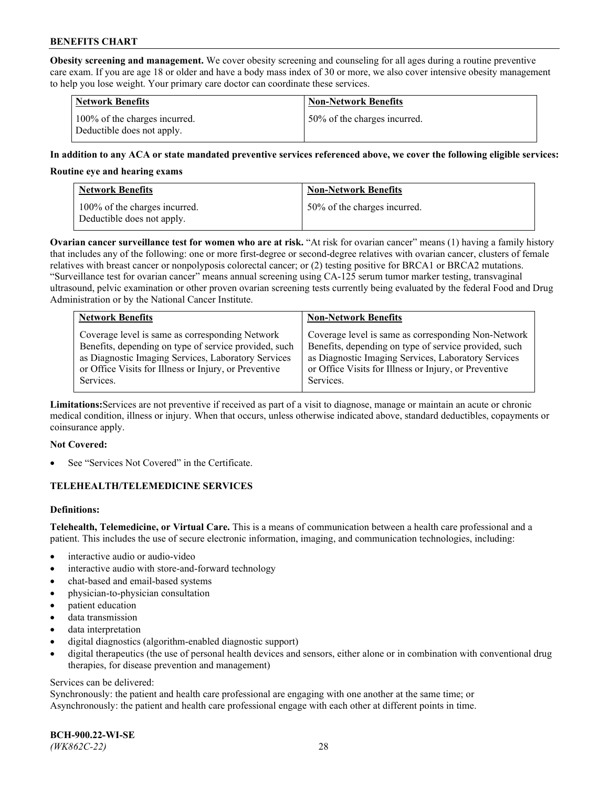**Obesity screening and management.** We cover obesity screening and counseling for all ages during a routine preventive care exam. If you are age 18 or older and have a body mass index of 30 or more, we also cover intensive obesity management to help you lose weight. Your primary care doctor can coordinate these services.

| <b>Network Benefits</b>                                     | <b>Non-Network Benefits</b>  |
|-------------------------------------------------------------|------------------------------|
| 100% of the charges incurred.<br>Deductible does not apply. | 50% of the charges incurred. |

### **In addition to any ACA or state mandated preventive services referenced above, we cover the following eligible services:**

#### **Routine eye and hearing exams**

| <b>Network Benefits</b>                                     | <b>Non-Network Benefits</b>  |
|-------------------------------------------------------------|------------------------------|
| 100% of the charges incurred.<br>Deductible does not apply. | 50% of the charges incurred. |

**Ovarian cancer surveillance test for women who are at risk.** "At risk for ovarian cancer" means (1) having a family history that includes any of the following: one or more first-degree or second-degree relatives with ovarian cancer, clusters of female relatives with breast cancer or nonpolyposis colorectal cancer; or (2) testing positive for BRCA1 or BRCA2 mutations. "Surveillance test for ovarian cancer" means annual screening using CA-125 serum tumor marker testing, transvaginal ultrasound, pelvic examination or other proven ovarian screening tests currently being evaluated by the federal Food and Drug Administration or by the National Cancer Institute.

| <b>Network Benefits</b>                               | <b>Non-Network Benefits</b>                           |
|-------------------------------------------------------|-------------------------------------------------------|
| Coverage level is same as corresponding Network       | Coverage level is same as corresponding Non-Network   |
| Benefits, depending on type of service provided, such | Benefits, depending on type of service provided, such |
| as Diagnostic Imaging Services, Laboratory Services   | as Diagnostic Imaging Services, Laboratory Services   |
| or Office Visits for Illness or Injury, or Preventive | or Office Visits for Illness or Injury, or Preventive |
| Services.                                             | Services.                                             |

**Limitations:**Services are not preventive if received as part of a visit to diagnose, manage or maintain an acute or chronic medical condition, illness or injury. When that occurs, unless otherwise indicated above, standard deductibles, copayments or coinsurance apply.

#### **Not Covered:**

See "Services Not Covered" in the Certificate.

## **TELEHEALTH/TELEMEDICINE SERVICES**

## **Definitions:**

**Telehealth, Telemedicine, or Virtual Care.** This is a means of communication between a health care professional and a patient. This includes the use of secure electronic information, imaging, and communication technologies, including:

- interactive audio or audio-video
- interactive audio with store-and-forward technology
- chat-based and email-based systems
- physician-to-physician consultation
- patient education
- data transmission
- data interpretation
- digital diagnostics (algorithm-enabled diagnostic support)
- digital therapeutics (the use of personal health devices and sensors, either alone or in combination with conventional drug therapies, for disease prevention and management)

#### Services can be delivered:

Synchronously: the patient and health care professional are engaging with one another at the same time; or Asynchronously: the patient and health care professional engage with each other at different points in time.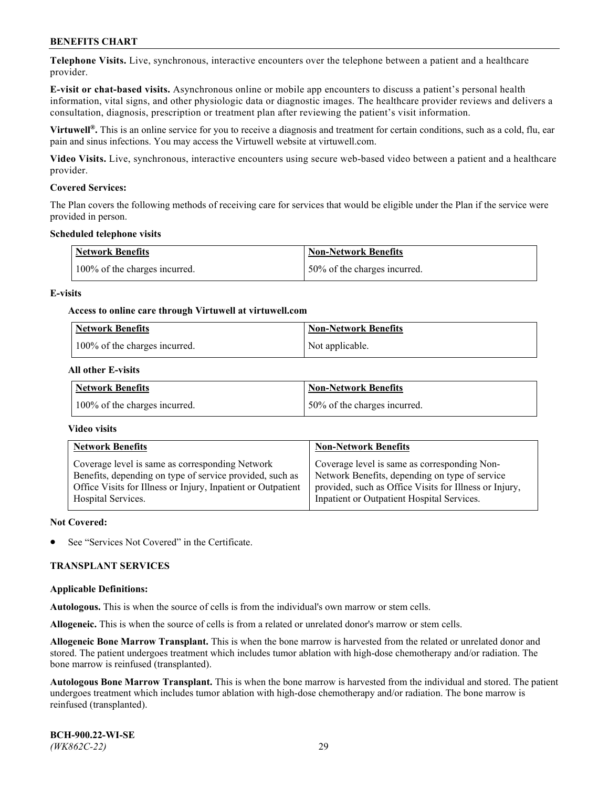**Telephone Visits.** Live, synchronous, interactive encounters over the telephone between a patient and a healthcare provider.

**E-visit or chat-based visits.** Asynchronous online or mobile app encounters to discuss a patient's personal health information, vital signs, and other physiologic data or diagnostic images. The healthcare provider reviews and delivers a consultation, diagnosis, prescription or treatment plan after reviewing the patient's visit information.

**Virtuwell®.** This is an online service for you to receive a diagnosis and treatment for certain conditions, such as a cold, flu, ear pain and sinus infections. You may access the Virtuwell website at [virtuwell.com.](https://www.virtuwell.com/)

**Video Visits.** Live, synchronous, interactive encounters using secure web-based video between a patient and a healthcare provider.

#### **Covered Services:**

The Plan covers the following methods of receiving care for services that would be eligible under the Plan if the service were provided in person.

#### **Scheduled telephone visits**

| <b>Network Benefits</b>       | <b>Non-Network Benefits</b>  |
|-------------------------------|------------------------------|
| 100% of the charges incurred. | 50% of the charges incurred. |

### **E-visits**

### **Access to online care through Virtuwell at [virtuwell.com](https://www.virtuwell.com/)**

| Network Benefits              | <b>Non-Network Benefits</b> |
|-------------------------------|-----------------------------|
| 100% of the charges incurred. | Not applicable.             |

### **All other E-visits**

| Network Benefits              | <b>Non-Network Benefits</b>  |
|-------------------------------|------------------------------|
| 100% of the charges incurred. | 50% of the charges incurred. |

#### **Video visits**

| <b>Network Benefits</b>                                      | <b>Non-Network Benefits</b>                            |
|--------------------------------------------------------------|--------------------------------------------------------|
| Coverage level is same as corresponding Network              | Coverage level is same as corresponding Non-           |
| Benefits, depending on type of service provided, such as     | Network Benefits, depending on type of service         |
| Office Visits for Illness or Injury, Inpatient or Outpatient | provided, such as Office Visits for Illness or Injury, |
| Hospital Services.                                           | Inpatient or Outpatient Hospital Services.             |

#### **Not Covered:**

See "Services Not Covered" in the Certificate.

## **TRANSPLANT SERVICES**

#### **Applicable Definitions:**

**Autologous.** This is when the source of cells is from the individual's own marrow or stem cells.

**Allogeneic.** This is when the source of cells is from a related or unrelated donor's marrow or stem cells.

**Allogeneic Bone Marrow Transplant.** This is when the bone marrow is harvested from the related or unrelated donor and stored. The patient undergoes treatment which includes tumor ablation with high-dose chemotherapy and/or radiation. The bone marrow is reinfused (transplanted).

**Autologous Bone Marrow Transplant.** This is when the bone marrow is harvested from the individual and stored. The patient undergoes treatment which includes tumor ablation with high-dose chemotherapy and/or radiation. The bone marrow is reinfused (transplanted).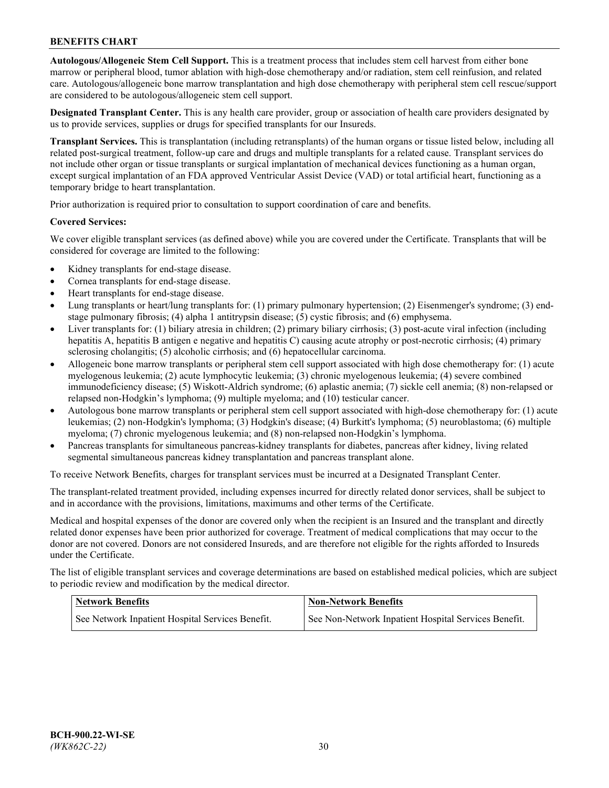**Autologous/Allogeneic Stem Cell Support.** This is a treatment process that includes stem cell harvest from either bone marrow or peripheral blood, tumor ablation with high-dose chemotherapy and/or radiation, stem cell reinfusion, and related care. Autologous/allogeneic bone marrow transplantation and high dose chemotherapy with peripheral stem cell rescue/support are considered to be autologous/allogeneic stem cell support.

**Designated Transplant Center.** This is any health care provider, group or association of health care providers designated by us to provide services, supplies or drugs for specified transplants for our Insureds.

**Transplant Services.** This is transplantation (including retransplants) of the human organs or tissue listed below, including all related post-surgical treatment, follow-up care and drugs and multiple transplants for a related cause. Transplant services do not include other organ or tissue transplants or surgical implantation of mechanical devices functioning as a human organ, except surgical implantation of an FDA approved Ventricular Assist Device (VAD) or total artificial heart, functioning as a temporary bridge to heart transplantation.

Prior authorization is required prior to consultation to support coordination of care and benefits.

### **Covered Services:**

We cover eligible transplant services (as defined above) while you are covered under the Certificate. Transplants that will be considered for coverage are limited to the following:

- Kidney transplants for end-stage disease.
- Cornea transplants for end-stage disease.
- Heart transplants for end-stage disease.
- Lung transplants or heart/lung transplants for: (1) primary pulmonary hypertension; (2) Eisenmenger's syndrome; (3) endstage pulmonary fibrosis; (4) alpha 1 antitrypsin disease; (5) cystic fibrosis; and (6) emphysema.
- Liver transplants for: (1) biliary atresia in children; (2) primary biliary cirrhosis; (3) post-acute viral infection (including hepatitis A, hepatitis B antigen e negative and hepatitis C) causing acute atrophy or post-necrotic cirrhosis; (4) primary sclerosing cholangitis; (5) alcoholic cirrhosis; and (6) hepatocellular carcinoma.
- Allogeneic bone marrow transplants or peripheral stem cell support associated with high dose chemotherapy for: (1) acute myelogenous leukemia; (2) acute lymphocytic leukemia; (3) chronic myelogenous leukemia; (4) severe combined immunodeficiency disease; (5) Wiskott-Aldrich syndrome; (6) aplastic anemia; (7) sickle cell anemia; (8) non-relapsed or relapsed non-Hodgkin's lymphoma; (9) multiple myeloma; and (10) testicular cancer.
- Autologous bone marrow transplants or peripheral stem cell support associated with high-dose chemotherapy for: (1) acute leukemias; (2) non-Hodgkin's lymphoma; (3) Hodgkin's disease; (4) Burkitt's lymphoma; (5) neuroblastoma; (6) multiple myeloma; (7) chronic myelogenous leukemia; and (8) non-relapsed non-Hodgkin's lymphoma.
- Pancreas transplants for simultaneous pancreas-kidney transplants for diabetes, pancreas after kidney, living related segmental simultaneous pancreas kidney transplantation and pancreas transplant alone.

To receive Network Benefits, charges for transplant services must be incurred at a Designated Transplant Center.

The transplant-related treatment provided, including expenses incurred for directly related donor services, shall be subject to and in accordance with the provisions, limitations, maximums and other terms of the Certificate.

Medical and hospital expenses of the donor are covered only when the recipient is an Insured and the transplant and directly related donor expenses have been prior authorized for coverage. Treatment of medical complications that may occur to the donor are not covered. Donors are not considered Insureds, and are therefore not eligible for the rights afforded to Insureds under the Certificate.

The list of eligible transplant services and coverage determinations are based on established medical policies, which are subject to periodic review and modification by the medical director.

| <b>Network Benefits</b>                          | <b>Non-Network Benefits</b>                          |
|--------------------------------------------------|------------------------------------------------------|
| See Network Inpatient Hospital Services Benefit. | See Non-Network Inpatient Hospital Services Benefit. |